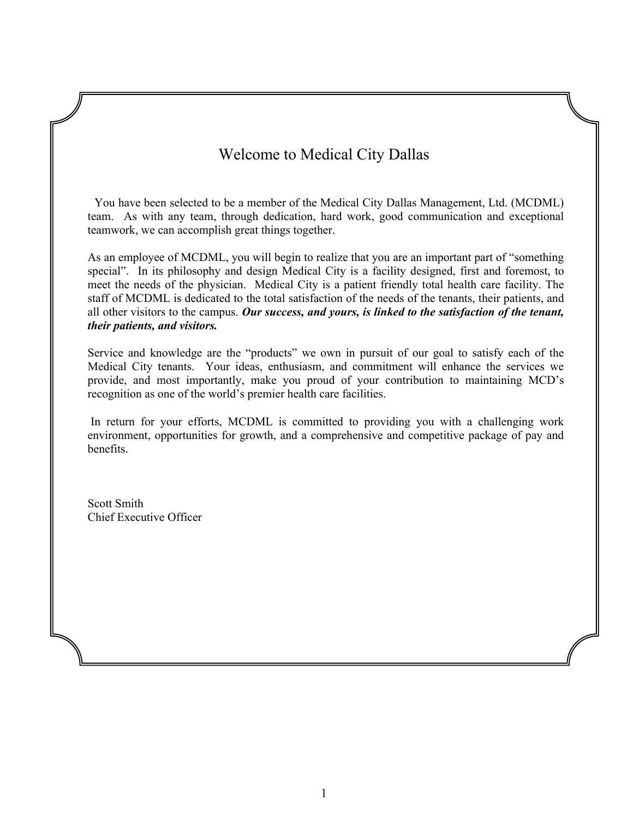# Welcome to Medical City Dallas

You have been selected to be a member of the Medical City Dallas Management, Ltd. (MCDML) team. As with any team, through dedication, hard work, good communication and exceptional teamwork, we can accomplish great things together.

As an employee of MCDML, you will begin to realize that you are an important part of "something special". In its philosophy and design Medical City is a facility designed, first and foremost, to meet the needs of the physician. Medical City is a patient friendly total health care facility. The staff of MCDML is dedicated to the total satisfaction of the needs of the tenants, their patients, and all other visitors to the campus. *Our success, and yours, is linked to the satisfaction of the tenant, their patients, and visitors.*

Service and knowledge are the "products" we own in pursuit of our goal to satisfy each of the Medical City tenants. Your ideas, enthusiasm, and commitment will enhance the services we provide, and most importantly, make you proud of your contribution to maintaining MCD's recognition as one of the world's premier health care facilities.

In return for your efforts, MCDML is committed to providing you with a challenging work environment, opportunities for growth, and a comprehensive and competitive package of pay and benefits.

Scott Smith Chief Executive Officer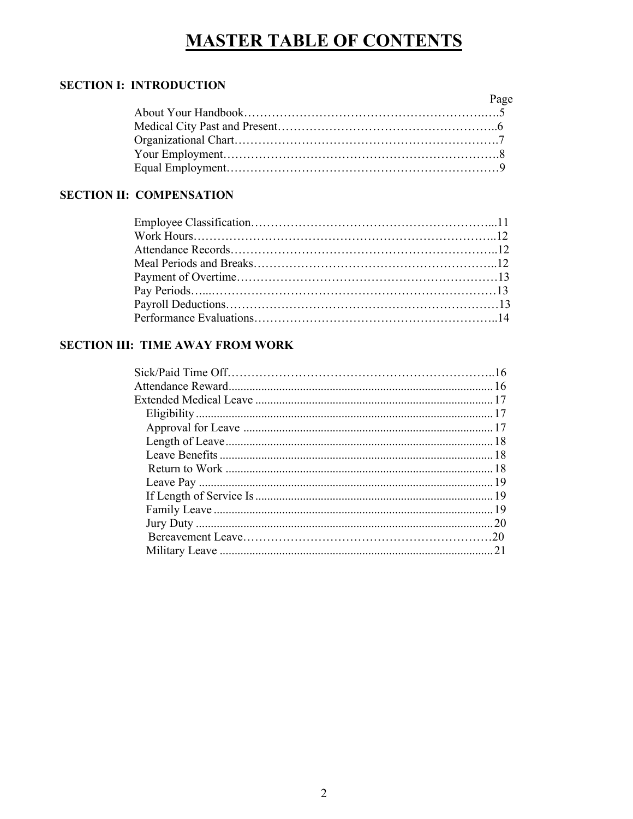# **MASTER TABLE OF CONTENTS**

# **SECTION I: INTRODUCTION**

| Page |  |
|------|--|
|      |  |
|      |  |
|      |  |
|      |  |
|      |  |

# **SECTION II: COMPENSATION**

## **SECTION III: TIME AWAY FROM WORK**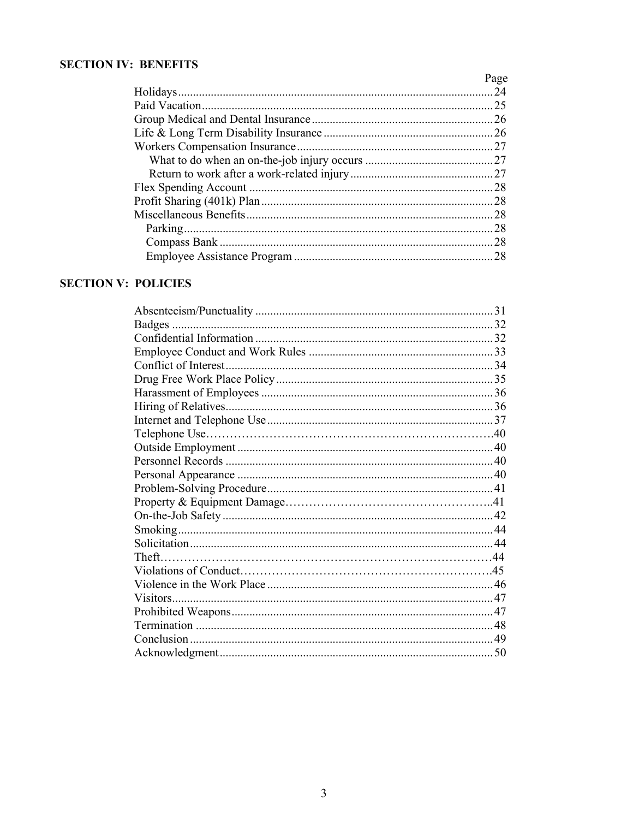## **SECTION IV: BENEFITS**

| Page |
|------|
|      |
|      |
|      |
|      |
|      |
|      |
|      |
|      |
|      |
|      |
|      |
|      |
|      |

# **SECTION V: POLICIES**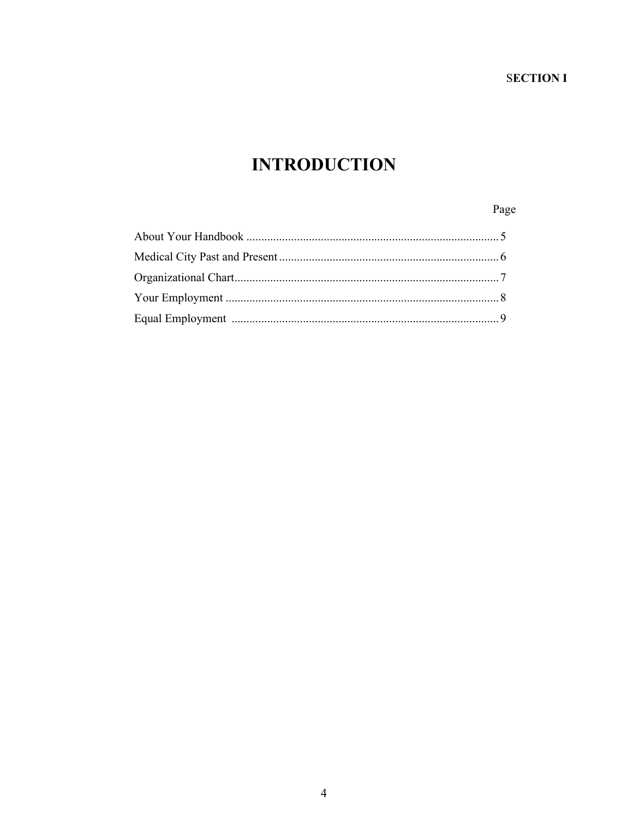# **INTRODUCTION**

# Page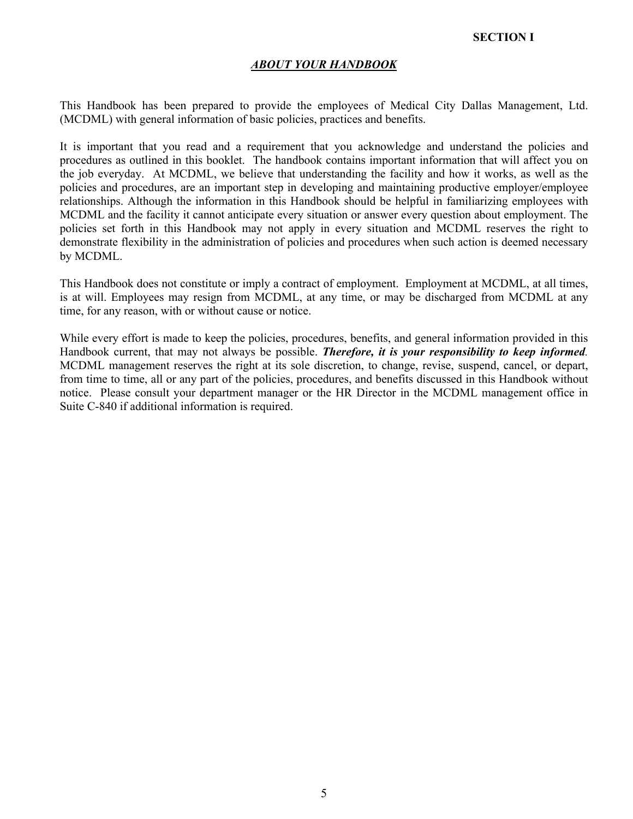## **SECTION I**

## *ABOUT YOUR HANDBOOK*

This Handbook has been prepared to provide the employees of Medical City Dallas Management, Ltd. (MCDML) with general information of basic policies, practices and benefits.

It is important that you read and a requirement that you acknowledge and understand the policies and procedures as outlined in this booklet. The handbook contains important information that will affect you on the job everyday. At MCDML, we believe that understanding the facility and how it works, as well as the policies and procedures, are an important step in developing and maintaining productive employer/employee relationships. Although the information in this Handbook should be helpful in familiarizing employees with MCDML and the facility it cannot anticipate every situation or answer every question about employment. The policies set forth in this Handbook may not apply in every situation and MCDML reserves the right to demonstrate flexibility in the administration of policies and procedures when such action is deemed necessary by MCDML.

This Handbook does not constitute or imply a contract of employment. Employment at MCDML, at all times, is at will. Employees may resign from MCDML, at any time, or may be discharged from MCDML at any time, for any reason, with or without cause or notice.

While every effort is made to keep the policies, procedures, benefits, and general information provided in this Handbook current, that may not always be possible. *Therefore, it is your responsibility to keep informed.* MCDML management reserves the right at its sole discretion, to change, revise, suspend, cancel, or depart, from time to time, all or any part of the policies, procedures, and benefits discussed in this Handbook without notice. Please consult your department manager or the HR Director in the MCDML management office in Suite C-840 if additional information is required.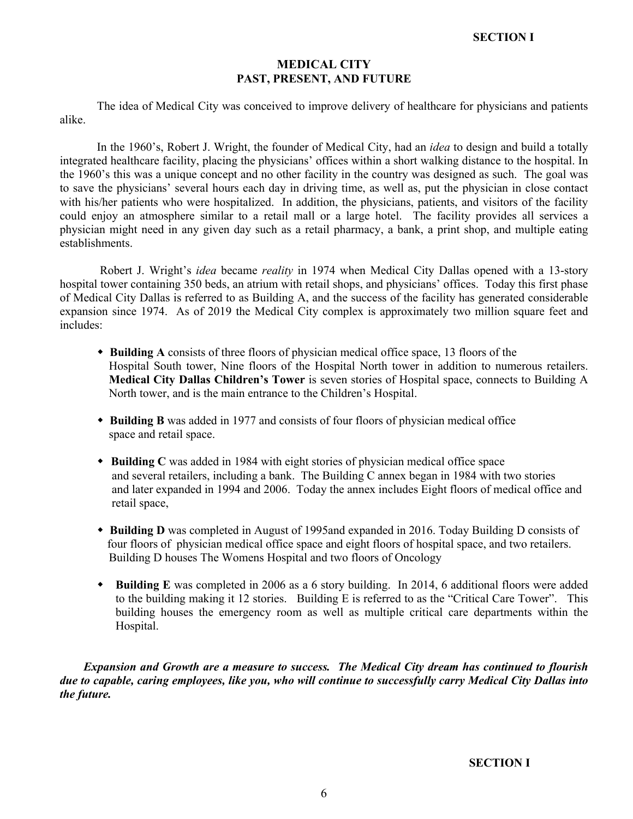## **MEDICAL CITY PAST, PRESENT, AND FUTURE**

The idea of Medical City was conceived to improve delivery of healthcare for physicians and patients alike.

In the 1960's, Robert J. Wright, the founder of Medical City, had an *idea* to design and build a totally integrated healthcare facility, placing the physicians' offices within a short walking distance to the hospital. In the 1960's this was a unique concept and no other facility in the country was designed as such. The goal was to save the physicians' several hours each day in driving time, as well as, put the physician in close contact with his/her patients who were hospitalized. In addition, the physicians, patients, and visitors of the facility could enjoy an atmosphere similar to a retail mall or a large hotel. The facility provides all services a physician might need in any given day such as a retail pharmacy, a bank, a print shop, and multiple eating establishments.

Robert J. Wright's *idea* became *reality* in 1974 when Medical City Dallas opened with a 13-story hospital tower containing 350 beds, an atrium with retail shops, and physicians' offices. Today this first phase of Medical City Dallas is referred to as Building A, and the success of the facility has generated considerable expansion since 1974. As of 2019 the Medical City complex is approximately two million square feet and includes:

- w **Building A** consists of three floors of physician medical office space, 13 floors of the Hospital South tower, Nine floors of the Hospital North tower in addition to numerous retailers. **Medical City Dallas Children's Tower** is seven stories of Hospital space, connects to Building A North tower, and is the main entrance to the Children's Hospital.
- **Building B** was added in 1977 and consists of four floors of physician medical office space and retail space.
- **Building C** was added in 1984 with eight stories of physician medical office space and several retailers, including a bank. The Building C annex began in 1984 with two stories and later expanded in 1994 and 2006. Today the annex includes Eight floors of medical office and retail space,
- **\*** Building D was completed in August of 1995and expanded in 2016. Today Building D consists of four floors of physician medical office space and eight floors of hospital space, and two retailers. Building D houses The Womens Hospital and two floors of Oncology
- w **Building E** was completed in 2006 as a 6 story building. In 2014, 6 additional floors were added to the building making it 12 stories. Building E is referred to as the "Critical Care Tower". This building houses the emergency room as well as multiple critical care departments within the Hospital.

 *Expansion and Growth are a measure to success. The Medical City dream has continued to flourish due to capable, caring employees, like you, who will continue to successfully carry Medical City Dallas into the future.*

**SECTION I**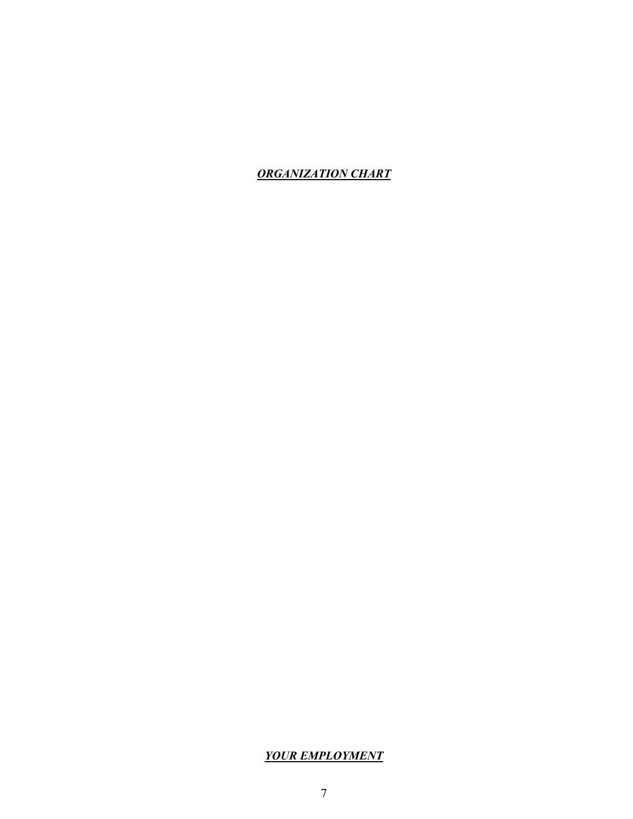*ORGANIZATION CHART*

## *YOUR EMPLOYMENT*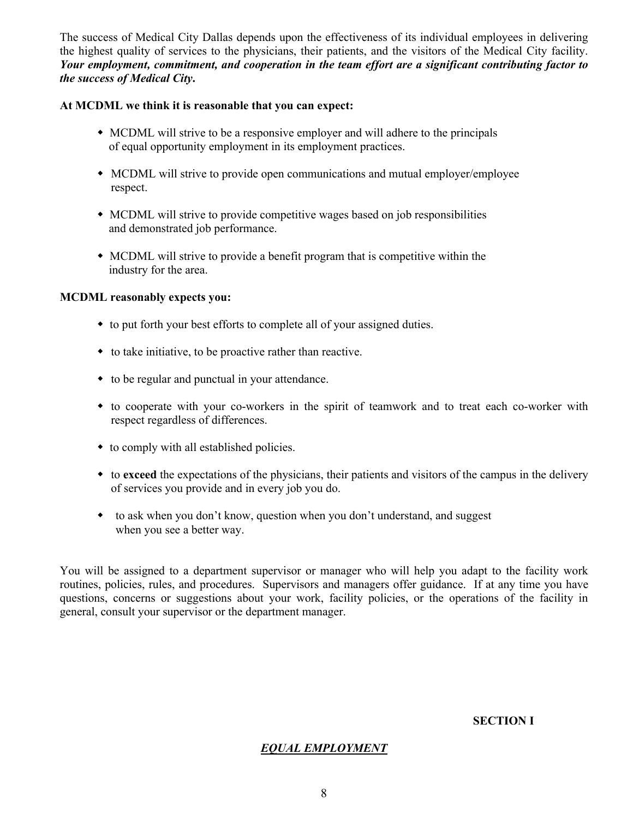The success of Medical City Dallas depends upon the effectiveness of its individual employees in delivering the highest quality of services to the physicians, their patients, and the visitors of the Medical City facility. *Your employment, commitment, and cooperation in the team effort are a significant contributing factor to the success of Medical City***.** 

## **At MCDML we think it is reasonable that you can expect:**

- MCDML will strive to be a responsive employer and will adhere to the principals of equal opportunity employment in its employment practices.
- MCDML will strive to provide open communications and mutual employer/employee respect.
- MCDML will strive to provide competitive wages based on job responsibilities and demonstrated job performance.
- $\bullet$  MCDML will strive to provide a benefit program that is competitive within the industry for the area.

## **MCDML reasonably expects you:**

- to put forth your best efforts to complete all of your assigned duties.
- $\bullet$  to take initiative, to be proactive rather than reactive.
- $\bullet$  to be regular and punctual in your attendance.
- w to cooperate with your co-workers in the spirit of teamwork and to treat each co-worker with respect regardless of differences.
- $\bullet$  to comply with all established policies.
- w to **exceed** the expectations of the physicians, their patients and visitors of the campus in the delivery of services you provide and in every job you do.
- $\bullet$  to ask when you don't know, question when you don't understand, and suggest when you see a better way.

You will be assigned to a department supervisor or manager who will help you adapt to the facility work routines, policies, rules, and procedures. Supervisors and managers offer guidance. If at any time you have questions, concerns or suggestions about your work, facility policies, or the operations of the facility in general, consult your supervisor or the department manager.

## **SECTION I**

## *EQUAL EMPLOYMENT*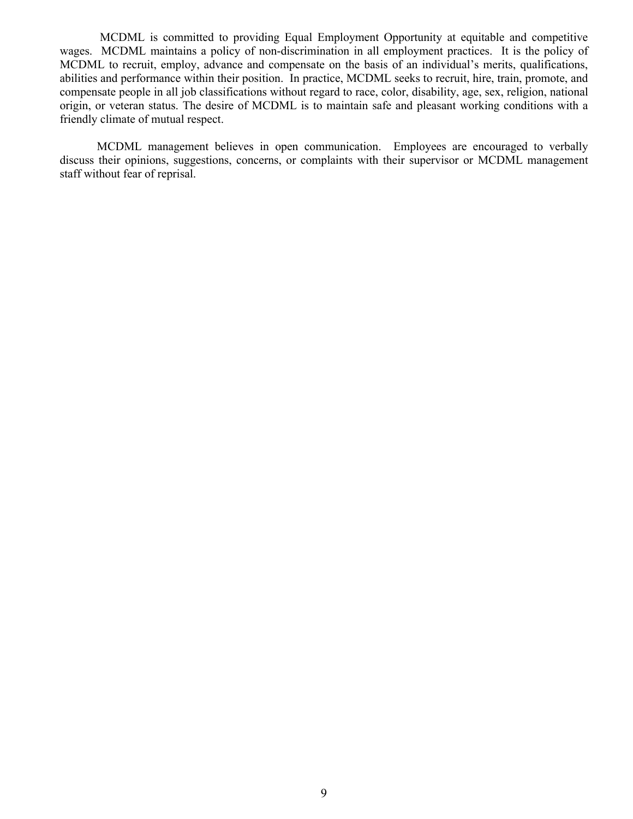MCDML is committed to providing Equal Employment Opportunity at equitable and competitive wages. MCDML maintains a policy of non-discrimination in all employment practices. It is the policy of MCDML to recruit, employ, advance and compensate on the basis of an individual's merits, qualifications, abilities and performance within their position. In practice, MCDML seeks to recruit, hire, train, promote, and compensate people in all job classifications without regard to race, color, disability, age, sex, religion, national origin, or veteran status. The desire of MCDML is to maintain safe and pleasant working conditions with a friendly climate of mutual respect.

MCDML management believes in open communication. Employees are encouraged to verbally discuss their opinions, suggestions, concerns, or complaints with their supervisor or MCDML management staff without fear of reprisal.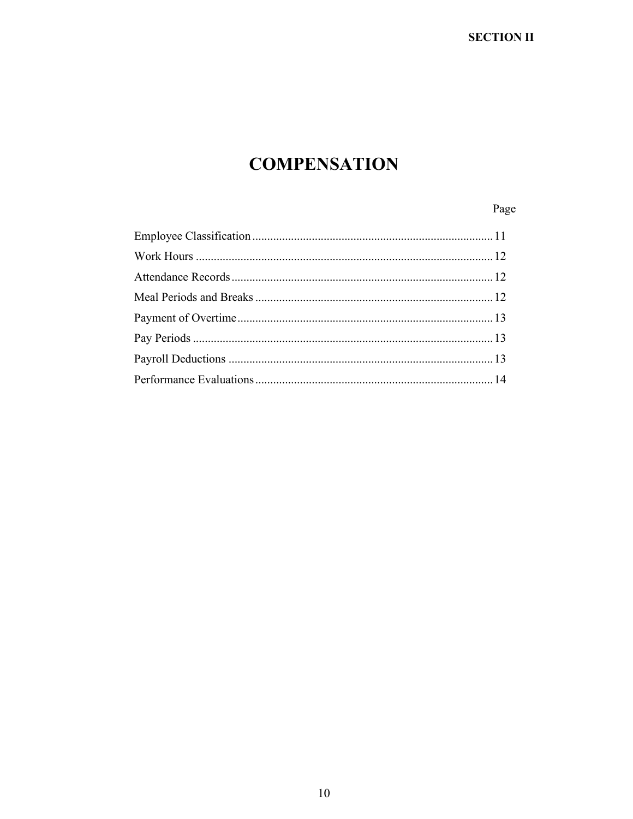# **SECTION II**

# **COMPENSATION**

# Page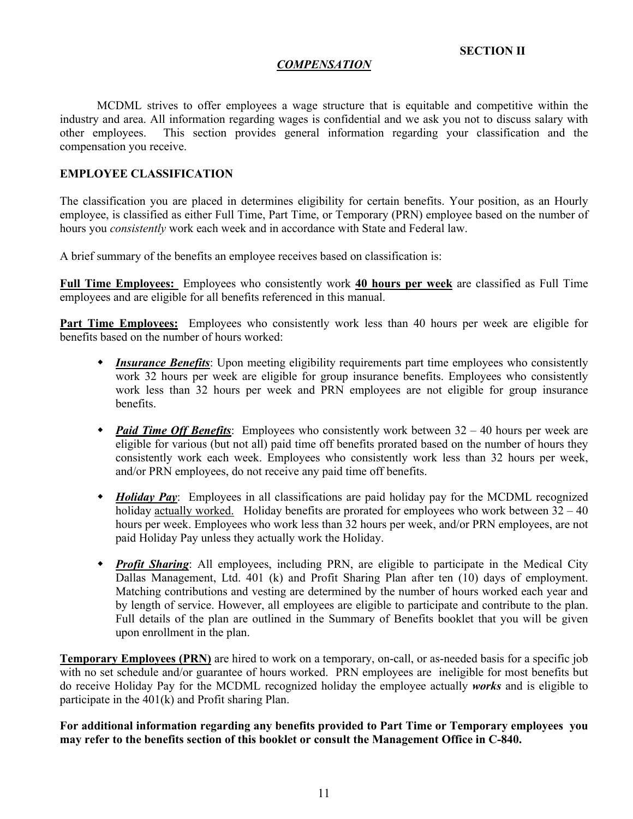## **SECTION II**

#### *COMPENSATION*

MCDML strives to offer employees a wage structure that is equitable and competitive within the industry and area. All information regarding wages is confidential and we ask you not to discuss salary with other employees. This section provides general information regarding your classification and the compensation you receive.

## **EMPLOYEE CLASSIFICATION**

The classification you are placed in determines eligibility for certain benefits. Your position, as an Hourly employee, is classified as either Full Time, Part Time, or Temporary (PRN) employee based on the number of hours you *consistently* work each week and in accordance with State and Federal law.

A brief summary of the benefits an employee receives based on classification is:

**Full Time Employees:** Employees who consistently work **40 hours per week** are classified as Full Time employees and are eligible for all benefits referenced in this manual.

**Part Time Employees:** Employees who consistently work less than 40 hours per week are eligible for benefits based on the number of hours worked:

- *Insurance Benefits*: Upon meeting eligibility requirements part time employees who consistently work 32 hours per week are eligible for group insurance benefits. Employees who consistently work less than 32 hours per week and PRN employees are not eligible for group insurance benefits.
- *Paid Time Off Benefits*: Employees who consistently work between  $32 40$  hours per week are eligible for various (but not all) paid time off benefits prorated based on the number of hours they consistently work each week. Employees who consistently work less than 32 hours per week, and/or PRN employees, do not receive any paid time off benefits.
- w *Holiday Pay*: Employees in all classifications are paid holiday pay for the MCDML recognized holiday actually worked. Holiday benefits are prorated for employees who work between  $32 - 40$ hours per week. Employees who work less than 32 hours per week, and/or PRN employees, are not paid Holiday Pay unless they actually work the Holiday.
- *Profit Sharing*: All employees, including PRN, are eligible to participate in the Medical City Dallas Management, Ltd. 401 (k) and Profit Sharing Plan after ten (10) days of employment. Matching contributions and vesting are determined by the number of hours worked each year and by length of service. However, all employees are eligible to participate and contribute to the plan. Full details of the plan are outlined in the Summary of Benefits booklet that you will be given upon enrollment in the plan.

**Temporary Employees (PRN)** are hired to work on a temporary, on-call, or as-needed basis for a specific job with no set schedule and/or guarantee of hours worked. PRN employees are ineligible for most benefits but do receive Holiday Pay for the MCDML recognized holiday the employee actually *works* and is eligible to participate in the 401(k) and Profit sharing Plan.

**For additional information regarding any benefits provided to Part Time or Temporary employees you may refer to the benefits section of this booklet or consult the Management Office in C-840.**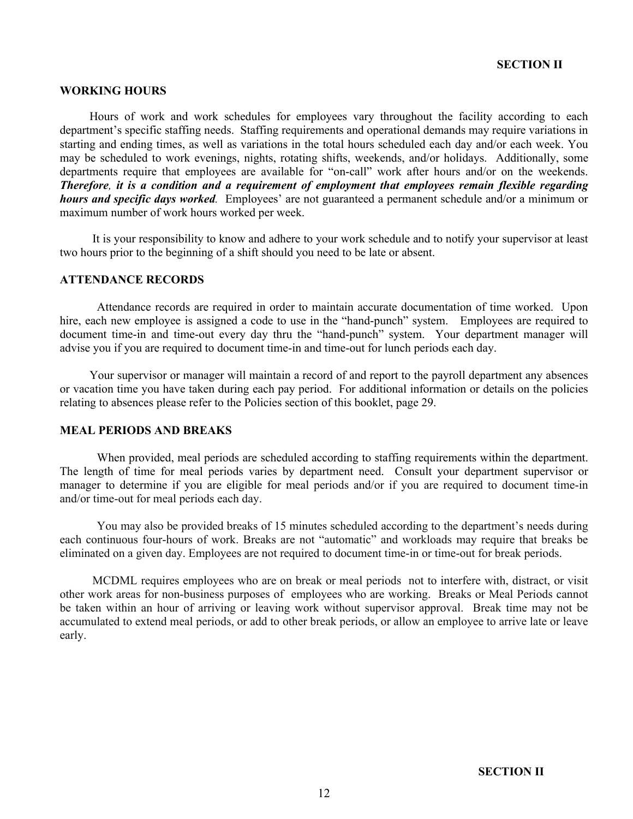#### **WORKING HOURS**

 Hours of work and work schedules for employees vary throughout the facility according to each department's specific staffing needs. Staffing requirements and operational demands may require variations in starting and ending times, as well as variations in the total hours scheduled each day and/or each week. You may be scheduled to work evenings, nights, rotating shifts, weekends, and/or holidays. Additionally, some departments require that employees are available for "on-call" work after hours and/or on the weekends. *Therefore, it is a condition and a requirement of employment that employees remain flexible regarding hours and specific days worked.* Employees' are not guaranteed a permanent schedule and/or a minimum or maximum number of work hours worked per week.

 It is your responsibility to know and adhere to your work schedule and to notify your supervisor at least two hours prior to the beginning of a shift should you need to be late or absent.

#### **ATTENDANCE RECORDS**

Attendance records are required in order to maintain accurate documentation of time worked. Upon hire, each new employee is assigned a code to use in the "hand-punch" system. Employees are required to document time-in and time-out every day thru the "hand-punch" system. Your department manager will advise you if you are required to document time-in and time-out for lunch periods each day.

 Your supervisor or manager will maintain a record of and report to the payroll department any absences or vacation time you have taken during each pay period. For additional information or details on the policies relating to absences please refer to the Policies section of this booklet, page 29.

#### **MEAL PERIODS AND BREAKS**

When provided, meal periods are scheduled according to staffing requirements within the department. The length of time for meal periods varies by department need. Consult your department supervisor or manager to determine if you are eligible for meal periods and/or if you are required to document time-in and/or time-out for meal periods each day.

You may also be provided breaks of 15 minutes scheduled according to the department's needs during each continuous four-hours of work. Breaks are not "automatic" and workloads may require that breaks be eliminated on a given day. Employees are not required to document time-in or time-out for break periods.

 MCDML requires employees who are on break or meal periods not to interfere with, distract, or visit other work areas for non-business purposes of employees who are working. Breaks or Meal Periods cannot be taken within an hour of arriving or leaving work without supervisor approval. Break time may not be accumulated to extend meal periods, or add to other break periods, or allow an employee to arrive late or leave early.

**SECTION II**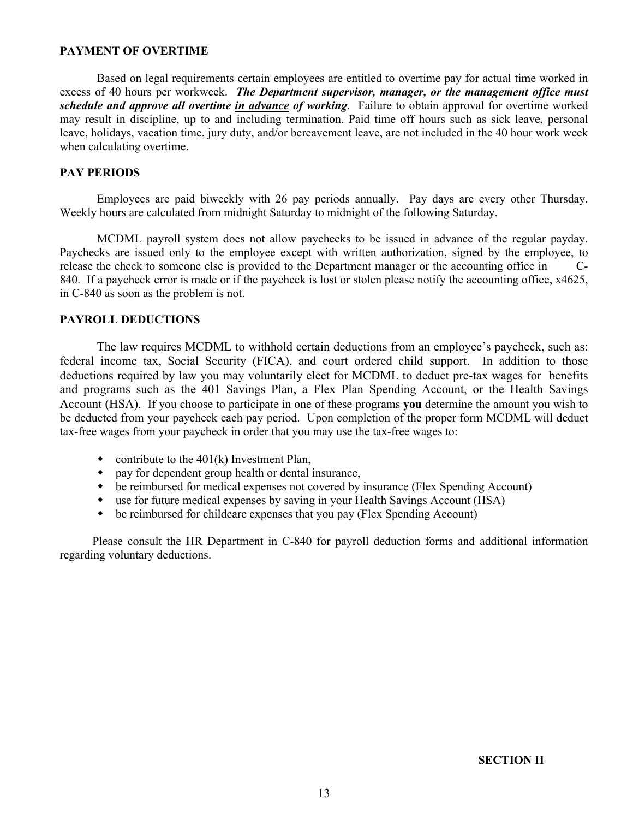## **PAYMENT OF OVERTIME**

Based on legal requirements certain employees are entitled to overtime pay for actual time worked in excess of 40 hours per workweek. *The Department supervisor, manager, or the management office must schedule and approve all overtime in advance of working*. Failure to obtain approval for overtime worked may result in discipline, up to and including termination. Paid time off hours such as sick leave, personal leave, holidays, vacation time, jury duty, and/or bereavement leave, are not included in the 40 hour work week when calculating overtime.

## **PAY PERIODS**

Employees are paid biweekly with 26 pay periods annually. Pay days are every other Thursday. Weekly hours are calculated from midnight Saturday to midnight of the following Saturday.

MCDML payroll system does not allow paychecks to be issued in advance of the regular payday. Paychecks are issued only to the employee except with written authorization, signed by the employee, to release the check to someone else is provided to the Department manager or the accounting office in C-840. If a paycheck error is made or if the paycheck is lost or stolen please notify the accounting office, x4625, in C-840 as soon as the problem is not.

## **PAYROLL DEDUCTIONS**

The law requires MCDML to withhold certain deductions from an employee's paycheck, such as: federal income tax, Social Security (FICA), and court ordered child support. In addition to those deductions required by law you may voluntarily elect for MCDML to deduct pre-tax wages for benefits and programs such as the 401 Savings Plan, a Flex Plan Spending Account, or the Health Savings Account (HSA). If you choose to participate in one of these programs **you** determine the amount you wish to be deducted from your paycheck each pay period. Upon completion of the proper form MCDML will deduct tax-free wages from your paycheck in order that you may use the tax-free wages to:

- contribute to the  $401(k)$  Investment Plan,
- pay for dependent group health or dental insurance,
- be reimbursed for medical expenses not covered by insurance (Flex Spending Account)
- use for future medical expenses by saving in your Health Savings Account (HSA)
- $\bullet$  be reimbursed for childcare expenses that you pay (Flex Spending Account)

 Please consult the HR Department in C-840 for payroll deduction forms and additional information regarding voluntary deductions.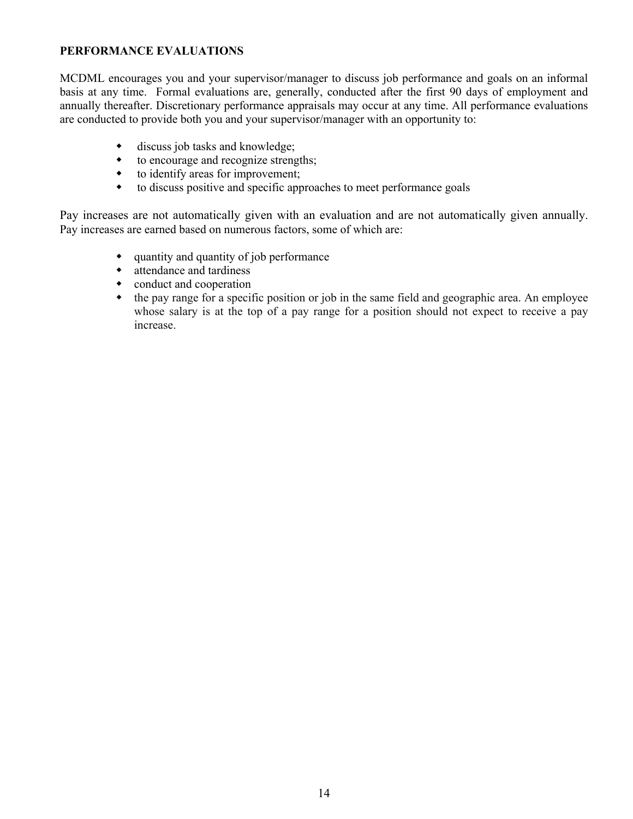## **PERFORMANCE EVALUATIONS**

MCDML encourages you and your supervisor/manager to discuss job performance and goals on an informal basis at any time. Formal evaluations are, generally, conducted after the first 90 days of employment and annually thereafter. Discretionary performance appraisals may occur at any time. All performance evaluations are conducted to provide both you and your supervisor/manager with an opportunity to:

- discuss job tasks and knowledge;
- $\bullet$  to encourage and recognize strengths;
- $\bullet$  to identify areas for improvement;
- $\bullet$  to discuss positive and specific approaches to meet performance goals

Pay increases are not automatically given with an evaluation and are not automatically given annually. Pay increases are earned based on numerous factors, some of which are:

- $\bullet$  quantity and quantity of job performance
- $\bullet$  attendance and tardiness
- $\bullet$  conduct and cooperation
- $\bullet$  the pay range for a specific position or job in the same field and geographic area. An employee whose salary is at the top of a pay range for a position should not expect to receive a pay increase.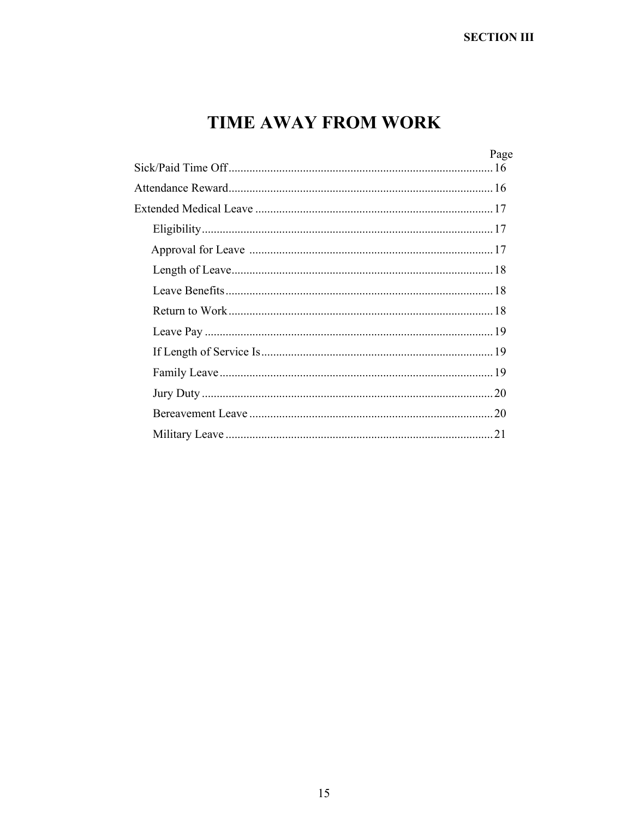# **TIME AWAY FROM WORK**

| Page |
|------|
|      |
|      |
|      |
|      |
|      |
|      |
|      |
|      |
|      |
|      |
|      |
|      |
|      |
|      |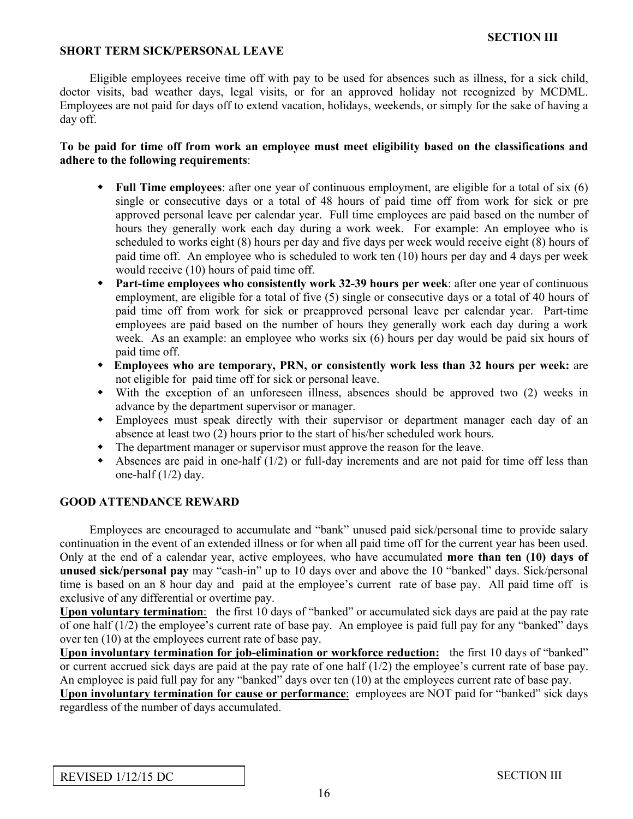## **SHORT TERM SICK/PERSONAL LEAVE**

 Eligible employees receive time off with pay to be used for absences such as illness, for a sick child, doctor visits, bad weather days, legal visits, or for an approved holiday not recognized by MCDML. Employees are not paid for days off to extend vacation, holidays, weekends, or simply for the sake of having a day off.

## **To be paid for time off from work an employee must meet eligibility based on the classifications and adhere to the following requirements**:

- **Full Time employees:** after one year of continuous employment, are eligible for a total of six (6) single or consecutive days or a total of 48 hours of paid time off from work for sick or pre approved personal leave per calendar year. Full time employees are paid based on the number of hours they generally work each day during a work week. For example: An employee who is scheduled to works eight (8) hours per day and five days per week would receive eight (8) hours of paid time off. An employee who is scheduled to work ten (10) hours per day and 4 days per week would receive (10) hours of paid time off.
- w **Part-time employees who consistently work 32-39 hours per week**: after one year of continuous employment, are eligible for a total of five (5) single or consecutive days or a total of 40 hours of paid time off from work for sick or preapproved personal leave per calendar year. Part-time employees are paid based on the number of hours they generally work each day during a work week. As an example: an employee who works six (6) hours per day would be paid six hours of paid time off.
- w **Employees who are temporary, PRN, or consistently work less than 32 hours per week:** are not eligible for paid time off for sick or personal leave.
- w With the exception of an unforeseen illness, absences should be approved two (2) weeks in advance by the department supervisor or manager.
- w Employees must speak directly with their supervisor or department manager each day of an absence at least two (2) hours prior to the start of his/her scheduled work hours.
- The department manager or supervisor must approve the reason for the leave.
- Absences are paid in one-half  $(1/2)$  or full-day increments and are not paid for time off less than one-half (1/2) day.

## **GOOD ATTENDANCE REWARD**

 Employees are encouraged to accumulate and "bank" unused paid sick/personal time to provide salary continuation in the event of an extended illness or for when all paid time off for the current year has been used. Only at the end of a calendar year, active employees, who have accumulated **more than ten (10) days of unused sick/personal pay** may "cash-in" up to 10 days over and above the 10 "banked" days. Sick/personal time is based on an 8 hour day and paid at the employee's current rate of base pay. All paid time off is exclusive of any differential or overtime pay.

**Upon voluntary termination**: the first 10 days of "banked" or accumulated sick days are paid at the pay rate of one half (1/2) the employee's current rate of base pay. An employee is paid full pay for any "banked" days over ten (10) at the employees current rate of base pay.

**Upon involuntary termination for job-elimination or workforce reduction:** the first 10 days of "banked" or current accrued sick days are paid at the pay rate of one half (1/2) the employee's current rate of base pay. An employee is paid full pay for any "banked" days over ten (10) at the employees current rate of base pay.

**Upon involuntary termination for cause or performance**: employees are NOT paid for "banked" sick days regardless of the number of days accumulated.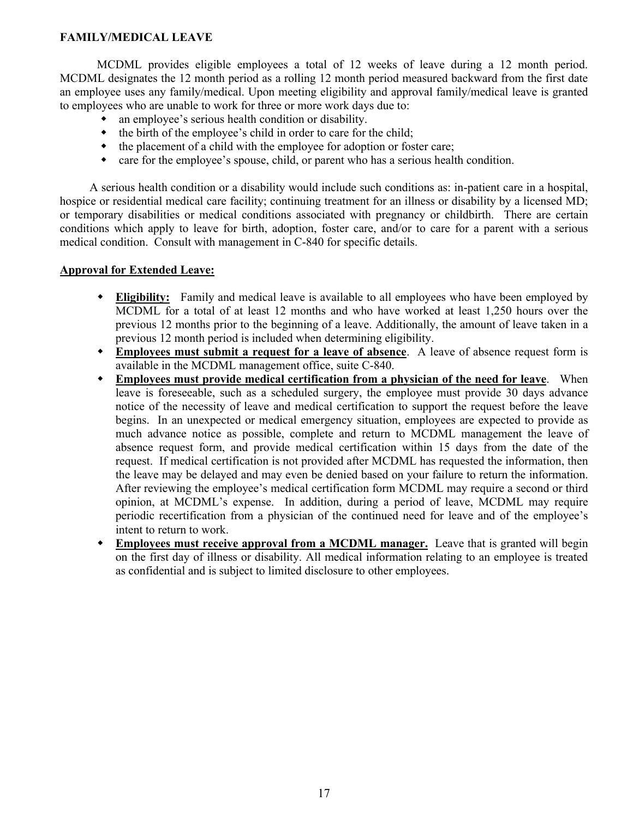## **FAMILY/MEDICAL LEAVE**

MCDML provides eligible employees a total of 12 weeks of leave during a 12 month period. MCDML designates the 12 month period as a rolling 12 month period measured backward from the first date an employee uses any family/medical. Upon meeting eligibility and approval family/medical leave is granted to employees who are unable to work for three or more work days due to:

- an employee's serious health condition or disability.
- $\bullet$  the birth of the employee's child in order to care for the child;
- the placement of a child with the employee for adoption or foster care;
- $\bullet$  care for the employee's spouse, child, or parent who has a serious health condition.

 A serious health condition or a disability would include such conditions as: in-patient care in a hospital, hospice or residential medical care facility; continuing treatment for an illness or disability by a licensed MD; or temporary disabilities or medical conditions associated with pregnancy or childbirth. There are certain conditions which apply to leave for birth, adoption, foster care, and/or to care for a parent with a serious medical condition. Consult with management in C-840 for specific details.

## **Approval for Extended Leave:**

- w **Eligibility:** Family and medical leave is available to all employees who have been employed by MCDML for a total of at least 12 months and who have worked at least 1,250 hours over the previous 12 months prior to the beginning of a leave. Additionally, the amount of leave taken in a previous 12 month period is included when determining eligibility.
- w **Employees must submit a request for a leave of absence**. A leave of absence request form is available in the MCDML management office, suite C-840.
- **Employees must provide medical certification from a physician of the need for leave.** When leave is foreseeable, such as a scheduled surgery, the employee must provide 30 days advance notice of the necessity of leave and medical certification to support the request before the leave begins. In an unexpected or medical emergency situation, employees are expected to provide as much advance notice as possible, complete and return to MCDML management the leave of absence request form, and provide medical certification within 15 days from the date of the request. If medical certification is not provided after MCDML has requested the information, then the leave may be delayed and may even be denied based on your failure to return the information. After reviewing the employee's medical certification form MCDML may require a second or third opinion, at MCDML's expense. In addition, during a period of leave, MCDML may require periodic recertification from a physician of the continued need for leave and of the employee's intent to return to work.
- **Employees must receive approval from a MCDML manager.** Leave that is granted will begin on the first day of illness or disability. All medical information relating to an employee is treated as confidential and is subject to limited disclosure to other employees.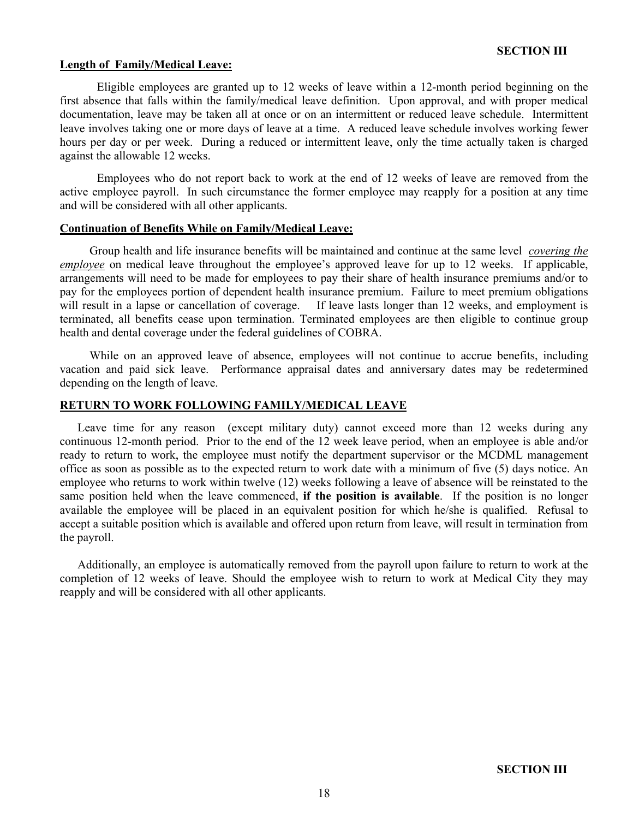#### **Length of Family/Medical Leave:**

Eligible employees are granted up to 12 weeks of leave within a 12-month period beginning on the first absence that falls within the family/medical leave definition. Upon approval, and with proper medical documentation, leave may be taken all at once or on an intermittent or reduced leave schedule. Intermittent leave involves taking one or more days of leave at a time. A reduced leave schedule involves working fewer hours per day or per week. During a reduced or intermittent leave, only the time actually taken is charged against the allowable 12 weeks.

Employees who do not report back to work at the end of 12 weeks of leave are removed from the active employee payroll. In such circumstance the former employee may reapply for a position at any time and will be considered with all other applicants.

## **Continuation of Benefits While on Family/Medical Leave:**

 Group health and life insurance benefits will be maintained and continue at the same level *covering the employee* on medical leave throughout the employee's approved leave for up to 12 weeks. If applicable, arrangements will need to be made for employees to pay their share of health insurance premiums and/or to pay for the employees portion of dependent health insurance premium. Failure to meet premium obligations will result in a lapse or cancellation of coverage. If leave lasts longer than 12 weeks, and employment is terminated, all benefits cease upon termination. Terminated employees are then eligible to continue group health and dental coverage under the federal guidelines of COBRA.

 While on an approved leave of absence, employees will not continue to accrue benefits, including vacation and paid sick leave. Performance appraisal dates and anniversary dates may be redetermined depending on the length of leave.

## **RETURN TO WORK FOLLOWING FAMILY/MEDICAL LEAVE**

 Leave time for any reason (except military duty) cannot exceed more than 12 weeks during any continuous 12-month period. Prior to the end of the 12 week leave period, when an employee is able and/or ready to return to work, the employee must notify the department supervisor or the MCDML management office as soon as possible as to the expected return to work date with a minimum of five (5) days notice. An employee who returns to work within twelve (12) weeks following a leave of absence will be reinstated to the same position held when the leave commenced, **if the position is available**. If the position is no longer available the employee will be placed in an equivalent position for which he/she is qualified. Refusal to accept a suitable position which is available and offered upon return from leave, will result in termination from the payroll.

 Additionally, an employee is automatically removed from the payroll upon failure to return to work at the completion of 12 weeks of leave. Should the employee wish to return to work at Medical City they may reapply and will be considered with all other applicants.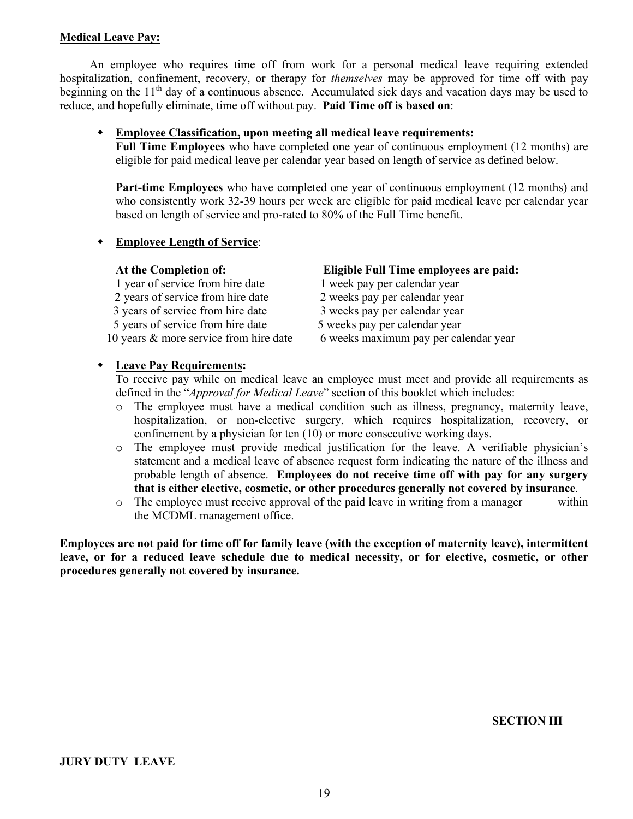## **Medical Leave Pay:**

 An employee who requires time off from work for a personal medical leave requiring extended hospitalization, confinement, recovery, or therapy for *themselves* may be approved for time off with pay beginning on the 11<sup>th</sup> day of a continuous absence. Accumulated sick days and vacation days may be used to reduce, and hopefully eliminate, time off without pay. **Paid Time off is based on**:

## w **Employee Classification, upon meeting all medical leave requirements:**

**Full Time Employees** who have completed one year of continuous employment (12 months) are eligible for paid medical leave per calendar year based on length of service as defined below.

**Part-time Employees** who have completed one year of continuous employment (12 months) and who consistently work 32-39 hours per week are eligible for paid medical leave per calendar year based on length of service and pro-rated to 80% of the Full Time benefit.

## **Employee Length of Service:**

| At the Completion of:                  | Eligible Full Time employees are paid: |
|----------------------------------------|----------------------------------------|
| 1 year of service from hire date       | 1 week pay per calendar year           |
| 2 years of service from hire date      | 2 weeks pay per calendar year          |
| 3 years of service from hire date      | 3 weeks pay per calendar year          |
| 5 years of service from hire date      | 5 weeks pay per calendar year          |
| 10 years & more service from hire date | 6 weeks maximum pay per calendar year  |

## w **Leave Pay Requirements:**

To receive pay while on medical leave an employee must meet and provide all requirements as defined in the "*Approval for Medical Leave*" section of this booklet which includes:

- o The employee must have a medical condition such as illness, pregnancy, maternity leave, hospitalization, or non-elective surgery, which requires hospitalization, recovery, or confinement by a physician for ten (10) or more consecutive working days.
- o The employee must provide medical justification for the leave. A verifiable physician's statement and a medical leave of absence request form indicating the nature of the illness and probable length of absence. **Employees do not receive time off with pay for any surgery that is either elective, cosmetic, or other procedures generally not covered by insurance**.
- $\circ$  The employee must receive approval of the paid leave in writing from a manager within the MCDML management office.

**Employees are not paid for time off for family leave (with the exception of maternity leave), intermittent leave, or for a reduced leave schedule due to medical necessity, or for elective, cosmetic, or other procedures generally not covered by insurance.**

**SECTION III**

**JURY DUTY LEAVE**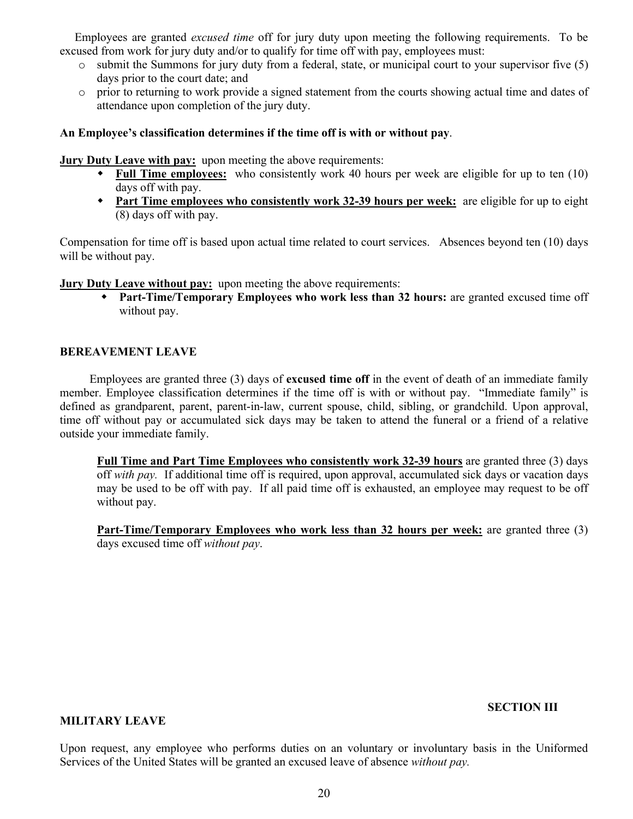Employees are granted *excused time* off for jury duty upon meeting the following requirements. To be excused from work for jury duty and/or to qualify for time off with pay, employees must:

- $\circ$  submit the Summons for jury duty from a federal, state, or municipal court to your supervisor five (5) days prior to the court date; and
- o prior to returning to work provide a signed statement from the courts showing actual time and dates of attendance upon completion of the jury duty.

## **An Employee's classification determines if the time off is with or without pay**.

**Jury Duty Leave with pay:** upon meeting the above requirements:

- w **Full Time employees:** who consistently work 40 hours per week are eligible for up to ten (10) days off with pay.
- w **Part Time employees who consistently work 32-39 hours per week:** are eligible for up to eight (8) days off with pay.

Compensation for time off is based upon actual time related to court services. Absences beyond ten (10) days will be without pay.

**Jury Duty Leave without pay:** upon meeting the above requirements:

w **Part-Time/Temporary Employees who work less than 32 hours:** are granted excused time off without pay.

### **BEREAVEMENT LEAVE**

 Employees are granted three (3) days of **excused time off** in the event of death of an immediate family member. Employee classification determines if the time off is with or without pay. "Immediate family" is defined as grandparent, parent, parent-in-law, current spouse, child, sibling, or grandchild. Upon approval, time off without pay or accumulated sick days may be taken to attend the funeral or a friend of a relative outside your immediate family.

**Full Time and Part Time Employees who consistently work 32-39 hours** are granted three (3) days off *with pay.* If additional time off is required, upon approval, accumulated sick days or vacation days may be used to be off with pay. If all paid time off is exhausted, an employee may request to be off without pay.

**Part-Time/Temporary Employees who work less than 32 hours per week:** are granted three (3) days excused time off *without pay*.

#### **SECTION III**

### **MILITARY LEAVE**

Upon request, any employee who performs duties on an voluntary or involuntary basis in the Uniformed Services of the United States will be granted an excused leave of absence *without pay.*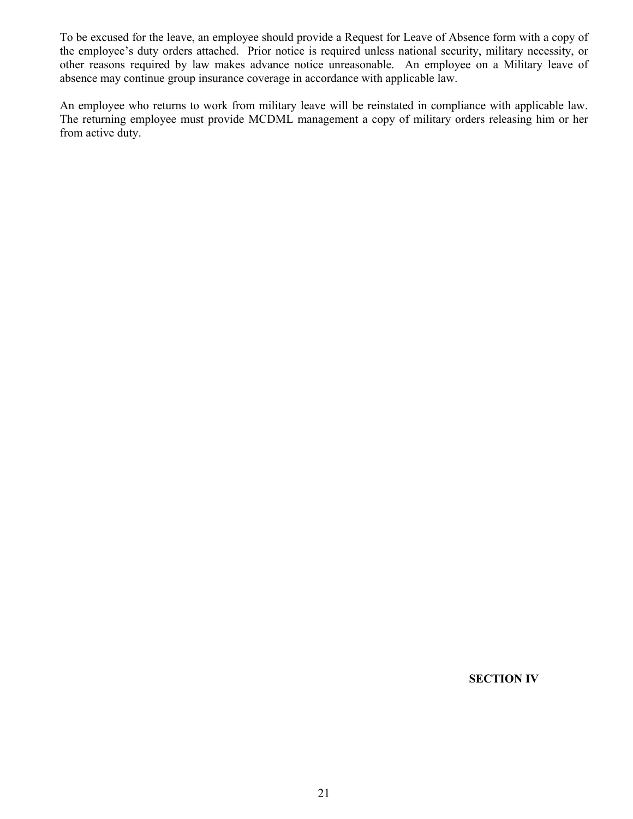To be excused for the leave, an employee should provide a Request for Leave of Absence form with a copy of the employee's duty orders attached. Prior notice is required unless national security, military necessity, or other reasons required by law makes advance notice unreasonable. An employee on a Military leave of absence may continue group insurance coverage in accordance with applicable law.

An employee who returns to work from military leave will be reinstated in compliance with applicable law. The returning employee must provide MCDML management a copy of military orders releasing him or her from active duty.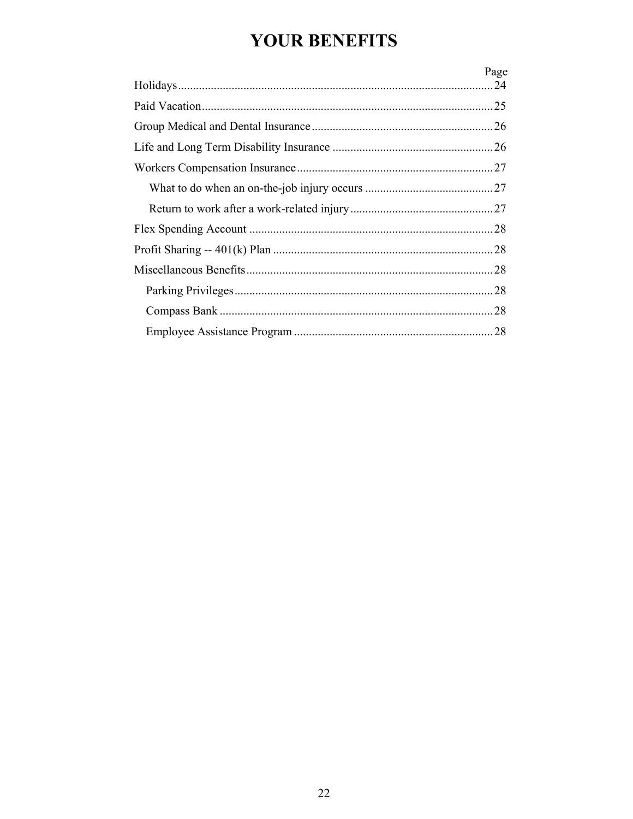# **YOUR BENEFITS**

| Page |
|------|
|      |
|      |
|      |
|      |
|      |
|      |
|      |
|      |
|      |
|      |
|      |
|      |
|      |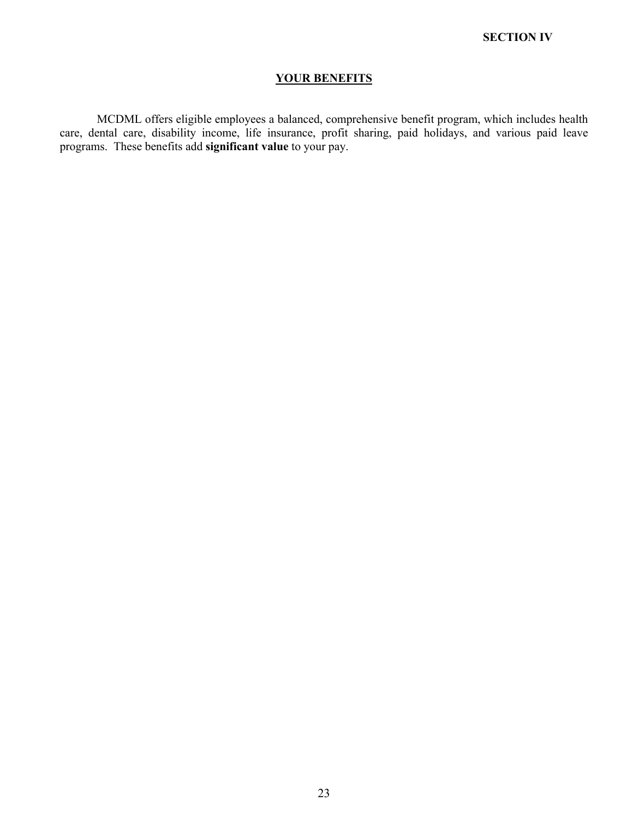## **YOUR BENEFITS**

MCDML offers eligible employees a balanced, comprehensive benefit program, which includes health care, dental care, disability income, life insurance, profit sharing, paid holidays, and various paid leave programs. These benefits add **significant value** to your pay.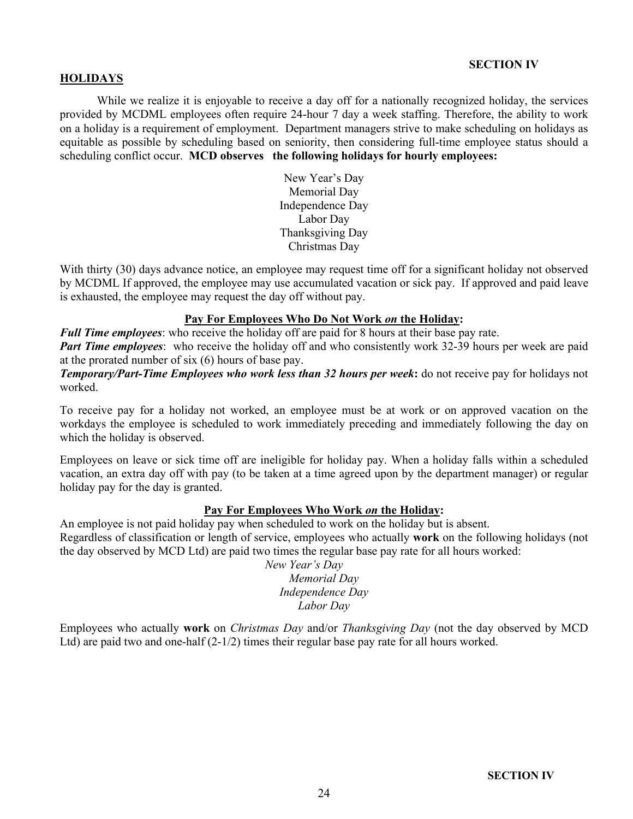## **SECTION IV**

## **HOLIDAYS**

While we realize it is enjoyable to receive a day off for a nationally recognized holiday, the services provided by MCDML employees often require 24-hour 7 day a week staffing. Therefore, the ability to work on a holiday is a requirement of employment. Department managers strive to make scheduling on holidays as equitable as possible by scheduling based on seniority, then considering full-time employee status should a scheduling conflict occur. **MCD observes the following holidays for hourly employees:**

> New Year's Day Memorial Day Independence Day Labor Day Thanksgiving Day Christmas Day

With thirty (30) days advance notice, an employee may request time off for a significant holiday not observed by MCDML If approved, the employee may use accumulated vacation or sick pay. If approved and paid leave is exhausted, the employee may request the day off without pay.

### **Pay For Employees Who Do Not Work** *on* **the Holiday:**

*Full Time employees*: who receive the holiday off are paid for 8 hours at their base pay rate.

*Part Time employees*: who receive the holiday off and who consistently work 32-39 hours per week are paid at the prorated number of six (6) hours of base pay.

*Temporary/Part-Time Employees who work less than 32 hours per week***:** do not receive pay for holidays not worked.

To receive pay for a holiday not worked, an employee must be at work or on approved vacation on the workdays the employee is scheduled to work immediately preceding and immediately following the day on which the holiday is observed.

Employees on leave or sick time off are ineligible for holiday pay. When a holiday falls within a scheduled vacation, an extra day off with pay (to be taken at a time agreed upon by the department manager) or regular holiday pay for the day is granted.

#### **Pay For Employees Who Work** *on* **the Holiday:**

An employee is not paid holiday pay when scheduled to work on the holiday but is absent. Regardless of classification or length of service, employees who actually **work** on the following holidays (not the day observed by MCD Ltd) are paid two times the regular base pay rate for all hours worked:

 *New Year's Day Memorial Day Independence Day Labor Day*

Employees who actually **work** on *Christmas Day* and/or *Thanksgiving Day* (not the day observed by MCD Ltd) are paid two and one-half  $(2-1/2)$  times their regular base pay rate for all hours worked.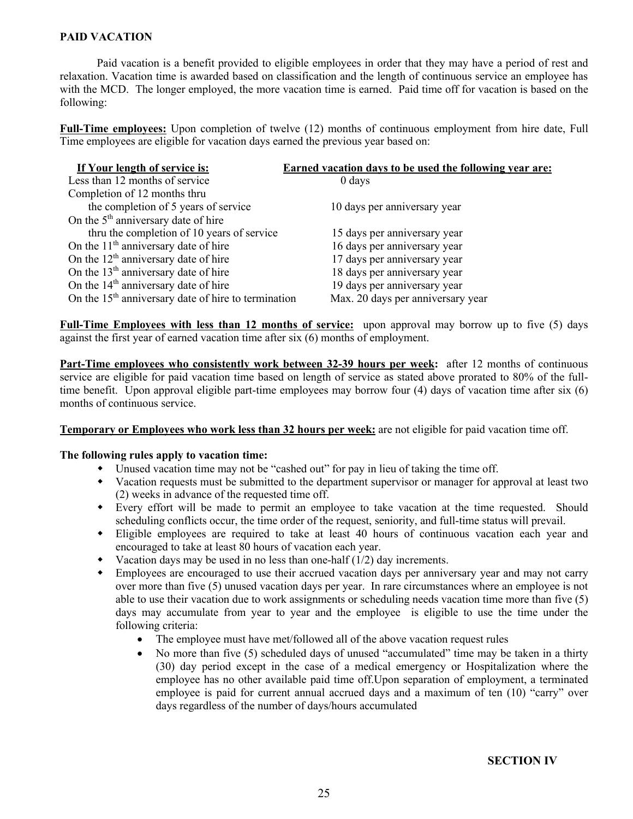## **PAID VACATION**

Paid vacation is a benefit provided to eligible employees in order that they may have a period of rest and relaxation. Vacation time is awarded based on classification and the length of continuous service an employee has with the MCD. The longer employed, the more vacation time is earned. Paid time off for vacation is based on the following:

**Full-Time employees:** Upon completion of twelve (12) months of continuous employment from hire date, Full Time employees are eligible for vacation days earned the previous year based on:

| If Your length of service is:                                   | <b>Earned vacation days to be used the following year are:</b> |
|-----------------------------------------------------------------|----------------------------------------------------------------|
| Less than 12 months of service                                  | $0 \, \text{days}$                                             |
| Completion of 12 months thru                                    |                                                                |
| the completion of 5 years of service                            | 10 days per anniversary year                                   |
| On the 5 <sup>th</sup> anniversary date of hire                 |                                                                |
| thru the completion of 10 years of service                      | 15 days per anniversary year                                   |
| On the $11th$ anniversary date of hire                          | 16 days per anniversary year                                   |
| On the $12th$ anniversary date of hire                          | 17 days per anniversary year                                   |
| On the 13 <sup>th</sup> anniversary date of hire                | 18 days per anniversary year                                   |
| On the 14 <sup>th</sup> anniversary date of hire                | 19 days per anniversary year                                   |
| On the 15 <sup>th</sup> anniversary date of hire to termination | Max. 20 days per anniversary year                              |

**Full-Time Employees with less than 12 months of service:** upon approval may borrow up to five (5) days against the first year of earned vacation time after six (6) months of employment.

Part-Time employees who consistently work between 32-39 hours per week: after 12 months of continuous service are eligible for paid vacation time based on length of service as stated above prorated to 80% of the fulltime benefit. Upon approval eligible part-time employees may borrow four (4) days of vacation time after six (6) months of continuous service.

#### **Temporary or Employees who work less than 32 hours per week:** are not eligible for paid vacation time off.

#### **The following rules apply to vacation time:**

- $\bullet$  Unused vacation time may not be "cashed out" for pay in lieu of taking the time off.
- w Vacation requests must be submitted to the department supervisor or manager for approval at least two (2) weeks in advance of the requested time off.
- w Every effort will be made to permit an employee to take vacation at the time requested. Should scheduling conflicts occur, the time order of the request, seniority, and full-time status will prevail.
- w Eligible employees are required to take at least 40 hours of continuous vacation each year and encouraged to take at least 80 hours of vacation each year.
- Vacation days may be used in no less than one-half  $(1/2)$  day increments.
- w Employees are encouraged to use their accrued vacation days per anniversary year and may not carry over more than five (5) unused vacation days per year. In rare circumstances where an employee is not able to use their vacation due to work assignments or scheduling needs vacation time more than five (5) days may accumulate from year to year and the employee is eligible to use the time under the following criteria:
	- The employee must have met/followed all of the above vacation request rules
	- No more than five (5) scheduled days of unused "accumulated" time may be taken in a thirty (30) day period except in the case of a medical emergency or Hospitalization where the employee has no other available paid time off.Upon separation of employment, a terminated employee is paid for current annual accrued days and a maximum of ten (10) "carry" over days regardless of the number of days/hours accumulated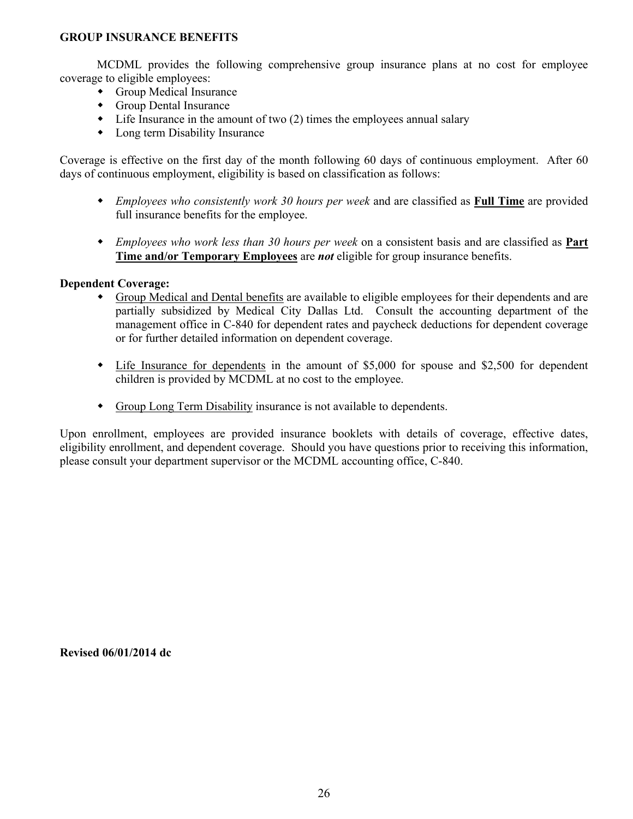## **GROUP INSURANCE BENEFITS**

MCDML provides the following comprehensive group insurance plans at no cost for employee coverage to eligible employees:

- $\bullet$  Group Medical Insurance
- $\bullet$  Group Dental Insurance
- $\bullet$  Life Insurance in the amount of two (2) times the employees annual salary
- $\bullet$  Long term Disability Insurance

Coverage is effective on the first day of the month following 60 days of continuous employment. After 60 days of continuous employment, eligibility is based on classification as follows:

- w *Employees who consistently work 30 hours per week* and are classified as **Full Time** are provided full insurance benefits for the employee.
- w *Employees who work less than 30 hours per week* on a consistent basis and are classified as **Part Time and/or Temporary Employees** are *not* eligible for group insurance benefits.

## **Dependent Coverage:**

- Group Medical and Dental benefits are available to eligible employees for their dependents and are partially subsidized by Medical City Dallas Ltd. Consult the accounting department of the management office in C-840 for dependent rates and paycheck deductions for dependent coverage or for further detailed information on dependent coverage.
- $\bullet$  Life Insurance for dependents in the amount of \$5,000 for spouse and \$2,500 for dependent children is provided by MCDML at no cost to the employee.
- Group Long Term Disability insurance is not available to dependents.

Upon enrollment, employees are provided insurance booklets with details of coverage, effective dates, eligibility enrollment, and dependent coverage. Should you have questions prior to receiving this information, please consult your department supervisor or the MCDML accounting office, C-840.

**Revised 06/01/2014 dc**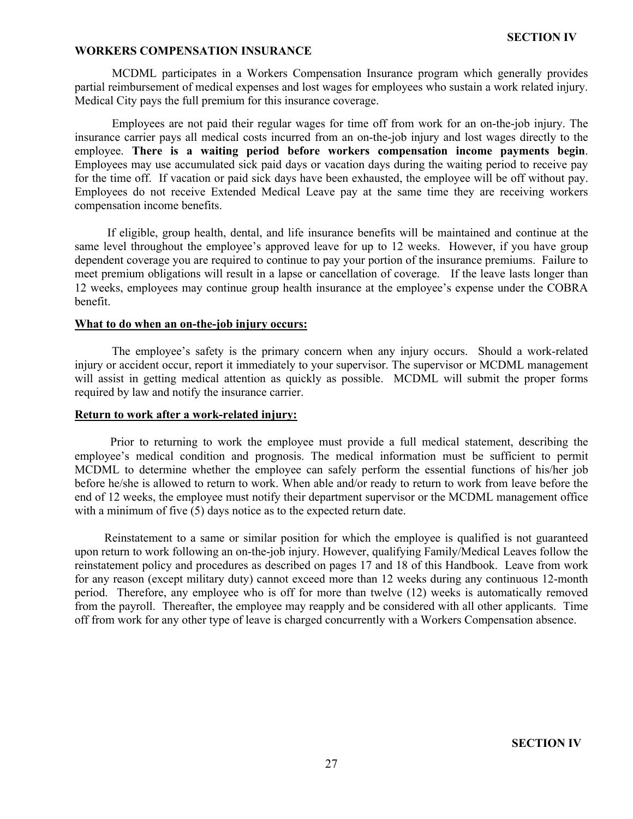## **WORKERS COMPENSATION INSURANCE**

MCDML participates in a Workers Compensation Insurance program which generally provides partial reimbursement of medical expenses and lost wages for employees who sustain a work related injury. Medical City pays the full premium for this insurance coverage.

Employees are not paid their regular wages for time off from work for an on-the-job injury. The insurance carrier pays all medical costs incurred from an on-the-job injury and lost wages directly to the employee. **There is a waiting period before workers compensation income payments begin**. Employees may use accumulated sick paid days or vacation days during the waiting period to receive pay for the time off. If vacation or paid sick days have been exhausted, the employee will be off without pay. Employees do not receive Extended Medical Leave pay at the same time they are receiving workers compensation income benefits.

 If eligible, group health, dental, and life insurance benefits will be maintained and continue at the same level throughout the employee's approved leave for up to 12 weeks. However, if you have group dependent coverage you are required to continue to pay your portion of the insurance premiums. Failure to meet premium obligations will result in a lapse or cancellation of coverage. If the leave lasts longer than 12 weeks, employees may continue group health insurance at the employee's expense under the COBRA benefit.

## **What to do when an on-the-job injury occurs:**

The employee's safety is the primary concern when any injury occurs. Should a work-related injury or accident occur, report it immediately to your supervisor. The supervisor or MCDML management will assist in getting medical attention as quickly as possible. MCDML will submit the proper forms required by law and notify the insurance carrier.

### **Return to work after a work-related injury:**

 Prior to returning to work the employee must provide a full medical statement, describing the employee's medical condition and prognosis. The medical information must be sufficient to permit MCDML to determine whether the employee can safely perform the essential functions of his/her job before he/she is allowed to return to work. When able and/or ready to return to work from leave before the end of 12 weeks, the employee must notify their department supervisor or the MCDML management office with a minimum of five (5) days notice as to the expected return date.

 Reinstatement to a same or similar position for which the employee is qualified is not guaranteed upon return to work following an on-the-job injury. However, qualifying Family/Medical Leaves follow the reinstatement policy and procedures as described on pages 17 and 18 of this Handbook. Leave from work for any reason (except military duty) cannot exceed more than 12 weeks during any continuous 12-month period. Therefore, any employee who is off for more than twelve (12) weeks is automatically removed from the payroll. Thereafter, the employee may reapply and be considered with all other applicants. Time off from work for any other type of leave is charged concurrently with a Workers Compensation absence.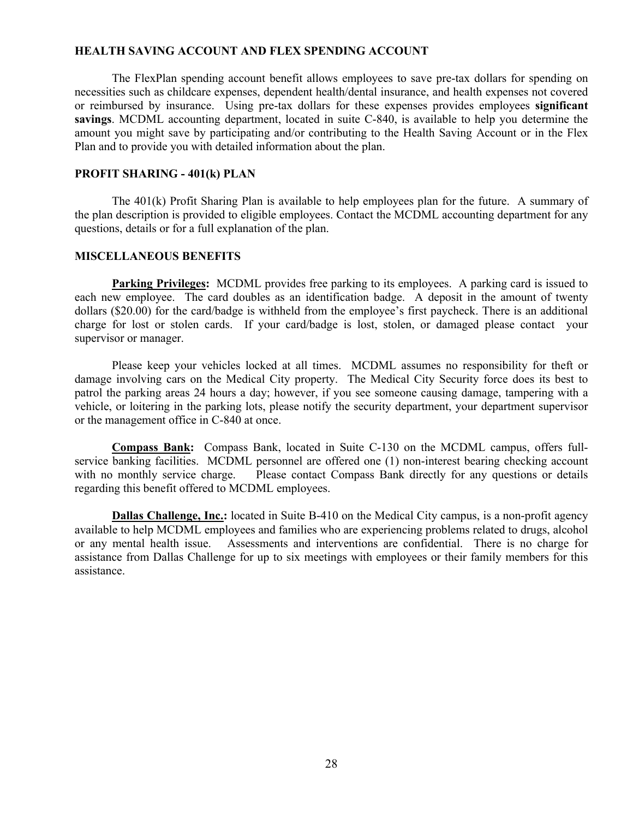#### **HEALTH SAVING ACCOUNT AND FLEX SPENDING ACCOUNT**

The FlexPlan spending account benefit allows employees to save pre-tax dollars for spending on necessities such as childcare expenses, dependent health/dental insurance, and health expenses not covered or reimbursed by insurance. Using pre-tax dollars for these expenses provides employees **significant savings**. MCDML accounting department, located in suite C-840, is available to help you determine the amount you might save by participating and/or contributing to the Health Saving Account or in the Flex Plan and to provide you with detailed information about the plan.

#### **PROFIT SHARING - 401(k) PLAN**

The 401(k) Profit Sharing Plan is available to help employees plan for the future. A summary of the plan description is provided to eligible employees. Contact the MCDML accounting department for any questions, details or for a full explanation of the plan.

## **MISCELLANEOUS BENEFITS**

**Parking Privileges:** MCDML provides free parking to its employees. A parking card is issued to each new employee. The card doubles as an identification badge. A deposit in the amount of twenty dollars (\$20.00) for the card/badge is withheld from the employee's first paycheck. There is an additional charge for lost or stolen cards. If your card/badge is lost, stolen, or damaged please contact your supervisor or manager.

Please keep your vehicles locked at all times. MCDML assumes no responsibility for theft or damage involving cars on the Medical City property. The Medical City Security force does its best to patrol the parking areas 24 hours a day; however, if you see someone causing damage, tampering with a vehicle, or loitering in the parking lots, please notify the security department, your department supervisor or the management office in C-840 at once.

**Compass Bank:** Compass Bank, located in Suite C-130 on the MCDML campus, offers fullservice banking facilities. MCDML personnel are offered one (1) non-interest bearing checking account with no monthly service charge. Please contact Compass Bank directly for any questions or details regarding this benefit offered to MCDML employees.

**Dallas Challenge, Inc.:** located in Suite B-410 on the Medical City campus, is a non-profit agency available to help MCDML employees and families who are experiencing problems related to drugs, alcohol or any mental health issue. Assessments and interventions are confidential. There is no charge for assistance from Dallas Challenge for up to six meetings with employees or their family members for this assistance.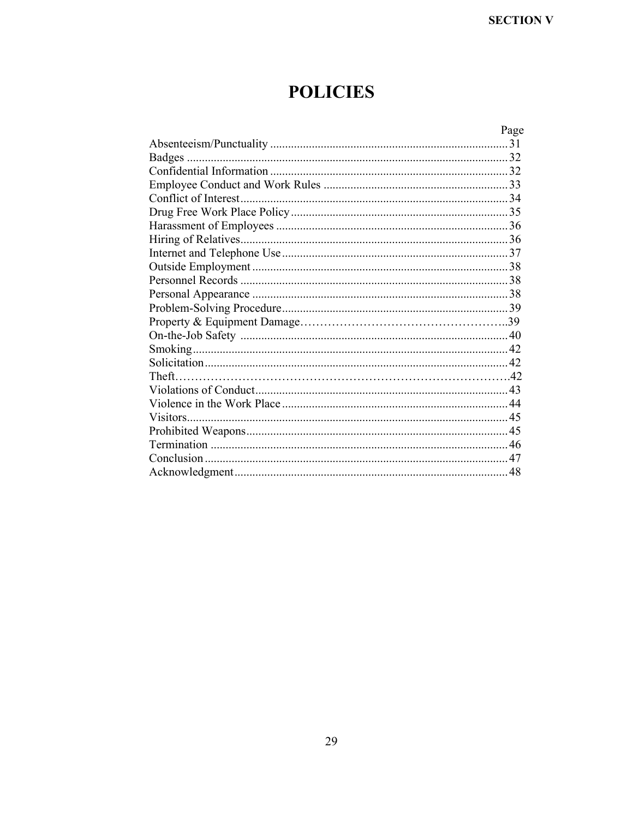# **POLICIES**

| Page |
|------|
|      |
|      |
|      |
|      |
|      |
|      |
|      |
|      |
|      |
|      |
|      |
|      |
|      |
|      |
|      |
|      |
|      |
|      |
|      |
|      |
|      |
|      |
|      |
|      |
|      |
|      |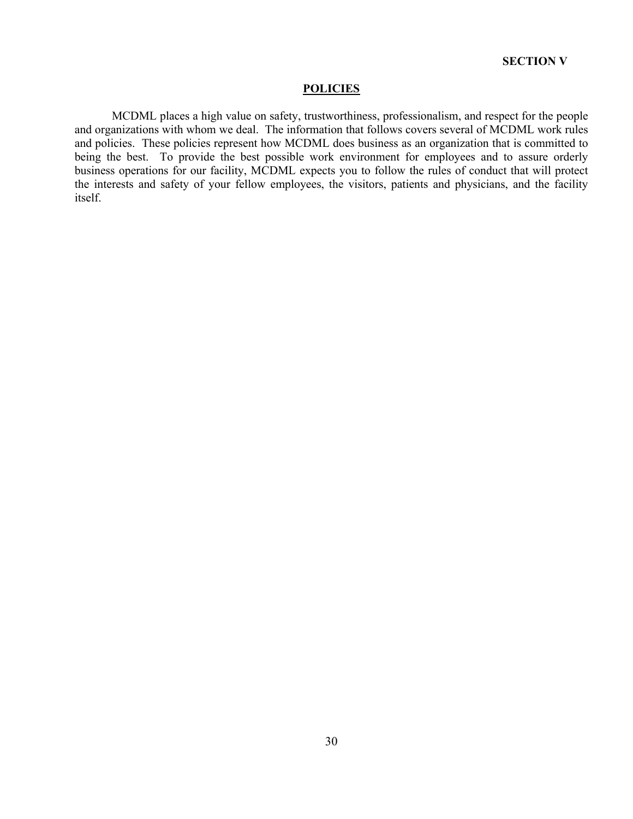#### **POLICIES**

MCDML places a high value on safety, trustworthiness, professionalism, and respect for the people and organizations with whom we deal. The information that follows covers several of MCDML work rules and policies. These policies represent how MCDML does business as an organization that is committed to being the best. To provide the best possible work environment for employees and to assure orderly business operations for our facility, MCDML expects you to follow the rules of conduct that will protect the interests and safety of your fellow employees, the visitors, patients and physicians, and the facility itself.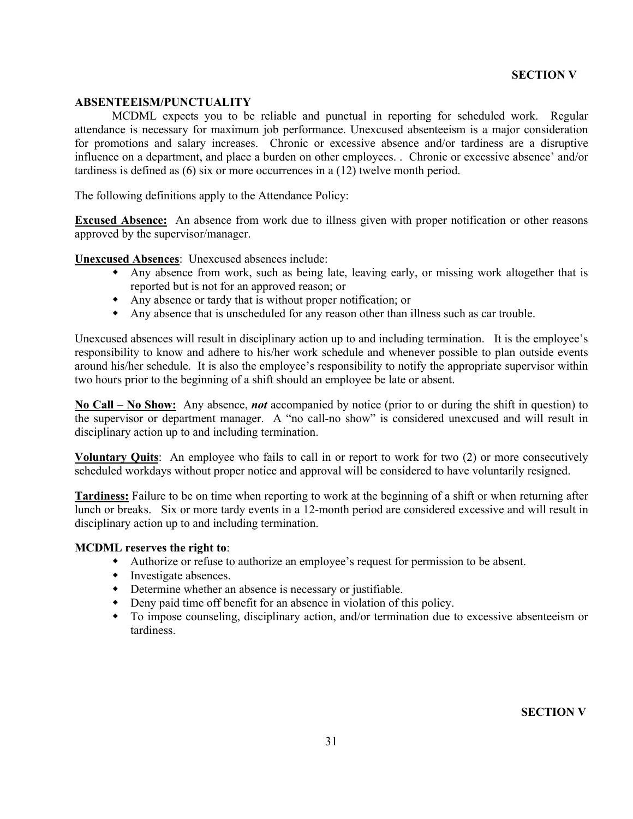## **ABSENTEEISM/PUNCTUALITY**

MCDML expects you to be reliable and punctual in reporting for scheduled work. Regular attendance is necessary for maximum job performance. Unexcused absenteeism is a major consideration for promotions and salary increases. Chronic or excessive absence and/or tardiness are a disruptive influence on a department, and place a burden on other employees. . Chronic or excessive absence' and/or tardiness is defined as (6) six or more occurrences in a (12) twelve month period.

The following definitions apply to the Attendance Policy:

**Excused Absence:** An absence from work due to illness given with proper notification or other reasons approved by the supervisor/manager.

**Unexcused Absences**: Unexcused absences include:

- Any absence from work, such as being late, leaving early, or missing work altogether that is reported but is not for an approved reason; or
- $\bullet$  Any absence or tardy that is without proper notification; or
- $\bullet$  Any absence that is unscheduled for any reason other than illness such as car trouble.

Unexcused absences will result in disciplinary action up to and including termination. It is the employee's responsibility to know and adhere to his/her work schedule and whenever possible to plan outside events around his/her schedule. It is also the employee's responsibility to notify the appropriate supervisor within two hours prior to the beginning of a shift should an employee be late or absent.

**No Call – No Show:** Any absence, *not* accompanied by notice (prior to or during the shift in question) to the supervisor or department manager. A "no call-no show" is considered unexcused and will result in disciplinary action up to and including termination.

**Voluntary Quits**: An employee who fails to call in or report to work for two (2) or more consecutively scheduled workdays without proper notice and approval will be considered to have voluntarily resigned.

**Tardiness:** Failure to be on time when reporting to work at the beginning of a shift or when returning after lunch or breaks. Six or more tardy events in a 12-month period are considered excessive and will result in disciplinary action up to and including termination.

## **MCDML reserves the right to**:

- w Authorize or refuse to authorize an employee's request for permission to be absent.
- $\bullet$  Investigate absences.
- $\bullet$  Determine whether an absence is necessary or justifiable.
- $\bullet$  Deny paid time off benefit for an absence in violation of this policy.
- w To impose counseling, disciplinary action, and/or termination due to excessive absenteeism or tardiness.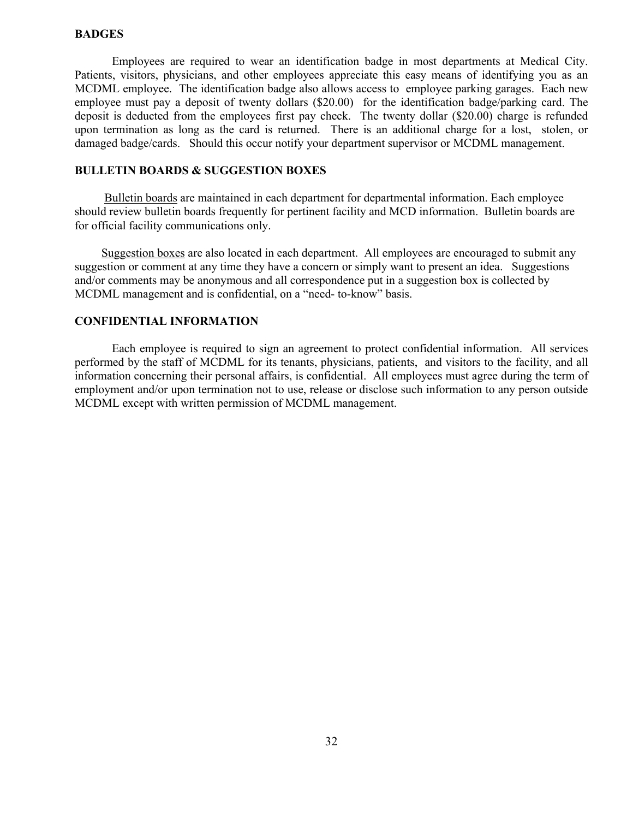## **BADGES**

Employees are required to wear an identification badge in most departments at Medical City. Patients, visitors, physicians, and other employees appreciate this easy means of identifying you as an MCDML employee. The identification badge also allows access to employee parking garages. Each new employee must pay a deposit of twenty dollars (\$20.00) for the identification badge/parking card. The deposit is deducted from the employees first pay check. The twenty dollar (\$20.00) charge is refunded upon termination as long as the card is returned. There is an additional charge for a lost, stolen, or damaged badge/cards. Should this occur notify your department supervisor or MCDML management.

## **BULLETIN BOARDS & SUGGESTION BOXES**

 Bulletin boards are maintained in each department for departmental information. Each employee should review bulletin boards frequently for pertinent facility and MCD information. Bulletin boards are for official facility communications only.

 Suggestion boxes are also located in each department. All employees are encouraged to submit any suggestion or comment at any time they have a concern or simply want to present an idea. Suggestions and/or comments may be anonymous and all correspondence put in a suggestion box is collected by MCDML management and is confidential, on a "need- to-know" basis.

## **CONFIDENTIAL INFORMATION**

Each employee is required to sign an agreement to protect confidential information. All services performed by the staff of MCDML for its tenants, physicians, patients, and visitors to the facility, and all information concerning their personal affairs, is confidential. All employees must agree during the term of employment and/or upon termination not to use, release or disclose such information to any person outside MCDML except with written permission of MCDML management.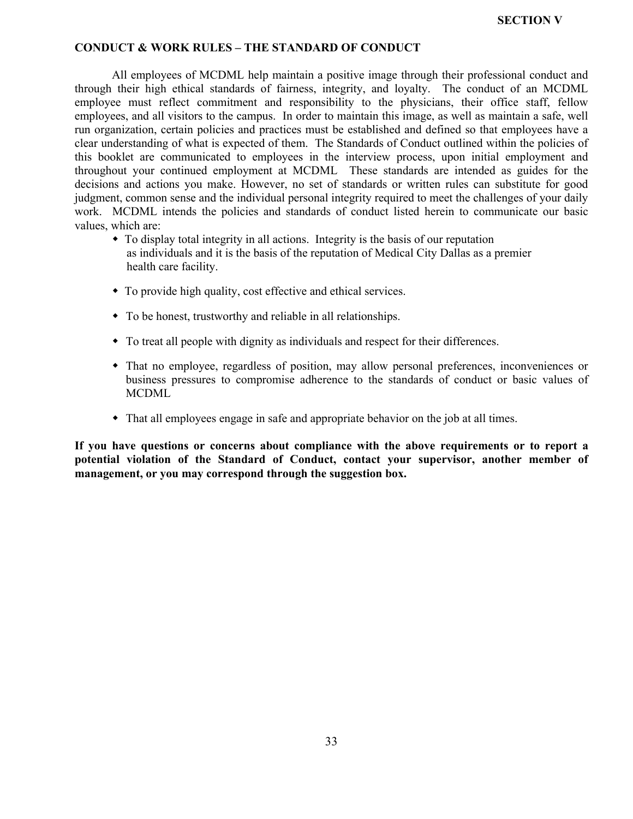#### **CONDUCT & WORK RULES – THE STANDARD OF CONDUCT**

All employees of MCDML help maintain a positive image through their professional conduct and through their high ethical standards of fairness, integrity, and loyalty. The conduct of an MCDML employee must reflect commitment and responsibility to the physicians, their office staff, fellow employees, and all visitors to the campus. In order to maintain this image, as well as maintain a safe, well run organization, certain policies and practices must be established and defined so that employees have a clear understanding of what is expected of them. The Standards of Conduct outlined within the policies of this booklet are communicated to employees in the interview process, upon initial employment and throughout your continued employment at MCDML These standards are intended as guides for the decisions and actions you make. However, no set of standards or written rules can substitute for good judgment, common sense and the individual personal integrity required to meet the challenges of your daily work. MCDML intends the policies and standards of conduct listed herein to communicate our basic values, which are:

- $\bullet$  To display total integrity in all actions. Integrity is the basis of our reputation as individuals and it is the basis of the reputation of Medical City Dallas as a premier health care facility.
- $\bullet$  To provide high quality, cost effective and ethical services.
- To be honest, trustworthy and reliable in all relationships.
- To treat all people with dignity as individuals and respect for their differences.
- w That no employee, regardless of position, may allow personal preferences, inconveniences or business pressures to compromise adherence to the standards of conduct or basic values of **MCDML**
- w That all employees engage in safe and appropriate behavior on the job at all times.

**If you have questions or concerns about compliance with the above requirements or to report a potential violation of the Standard of Conduct, contact your supervisor, another member of management, or you may correspond through the suggestion box.**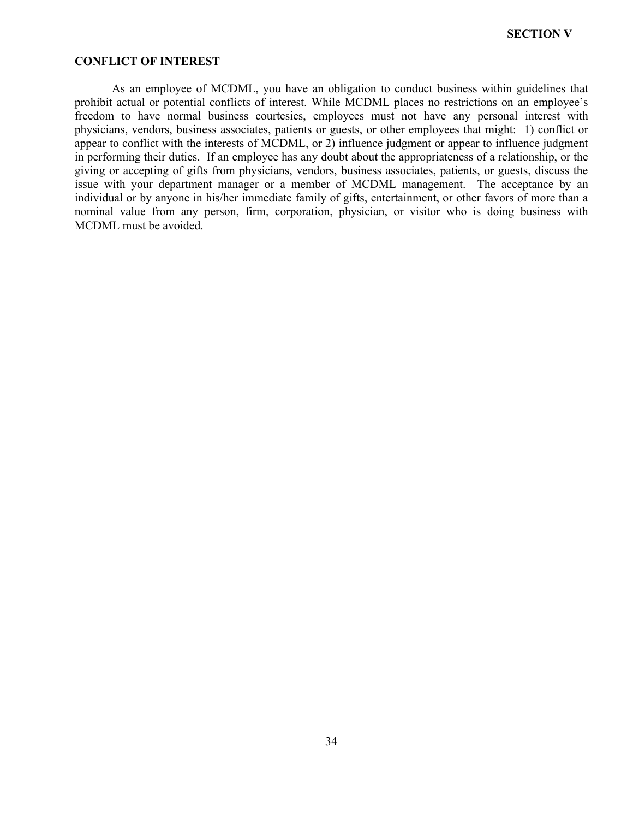#### **CONFLICT OF INTEREST**

As an employee of MCDML, you have an obligation to conduct business within guidelines that prohibit actual or potential conflicts of interest. While MCDML places no restrictions on an employee's freedom to have normal business courtesies, employees must not have any personal interest with physicians, vendors, business associates, patients or guests, or other employees that might: 1) conflict or appear to conflict with the interests of MCDML, or 2) influence judgment or appear to influence judgment in performing their duties. If an employee has any doubt about the appropriateness of a relationship, or the giving or accepting of gifts from physicians, vendors, business associates, patients, or guests, discuss the issue with your department manager or a member of MCDML management. The acceptance by an individual or by anyone in his/her immediate family of gifts, entertainment, or other favors of more than a nominal value from any person, firm, corporation, physician, or visitor who is doing business with MCDML must be avoided.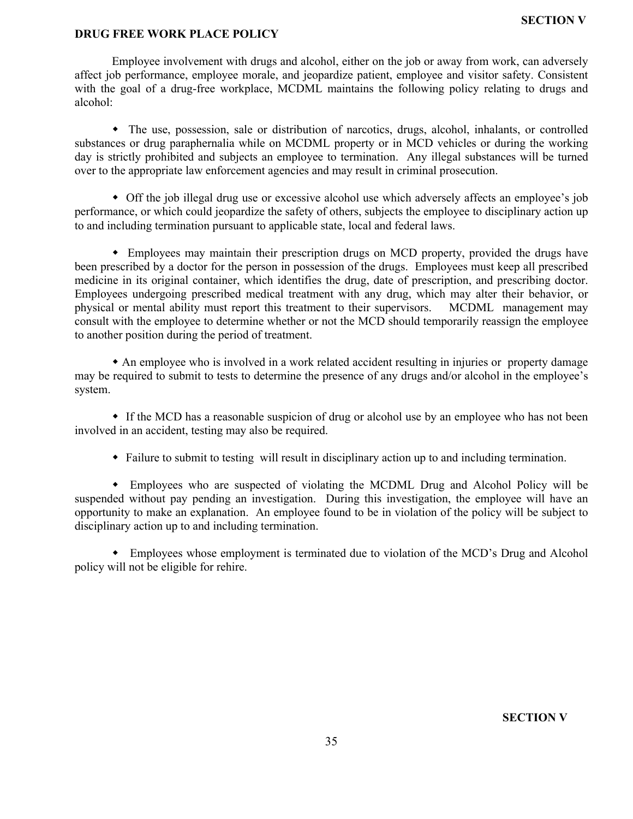#### **SECTION V**

## **DRUG FREE WORK PLACE POLICY**

Employee involvement with drugs and alcohol, either on the job or away from work, can adversely affect job performance, employee morale, and jeopardize patient, employee and visitor safety. Consistent with the goal of a drug-free workplace, MCDML maintains the following policy relating to drugs and alcohol:

w The use, possession, sale or distribution of narcotics, drugs, alcohol, inhalants, or controlled substances or drug paraphernalia while on MCDML property or in MCD vehicles or during the working day is strictly prohibited and subjects an employee to termination. Any illegal substances will be turned over to the appropriate law enforcement agencies and may result in criminal prosecution.

• Off the job illegal drug use or excessive alcohol use which adversely affects an employee's job performance, or which could jeopardize the safety of others, subjects the employee to disciplinary action up to and including termination pursuant to applicable state, local and federal laws.

• Employees may maintain their prescription drugs on MCD property, provided the drugs have been prescribed by a doctor for the person in possession of the drugs. Employees must keep all prescribed medicine in its original container, which identifies the drug, date of prescription, and prescribing doctor. Employees undergoing prescribed medical treatment with any drug, which may alter their behavior, or physical or mental ability must report this treatment to their supervisors. MCDML management may consult with the employee to determine whether or not the MCD should temporarily reassign the employee to another position during the period of treatment.

w An employee who is involved in a work related accident resulting in injuries or property damage may be required to submit to tests to determine the presence of any drugs and/or alcohol in the employee's system.

• If the MCD has a reasonable suspicion of drug or alcohol use by an employee who has not been involved in an accident, testing may also be required.

w Failure to submit to testing will result in disciplinary action up to and including termination.

w Employees who are suspected of violating the MCDML Drug and Alcohol Policy will be suspended without pay pending an investigation. During this investigation, the employee will have an opportunity to make an explanation. An employee found to be in violation of the policy will be subject to disciplinary action up to and including termination.

• Employees whose employment is terminated due to violation of the MCD's Drug and Alcohol policy will not be eligible for rehire.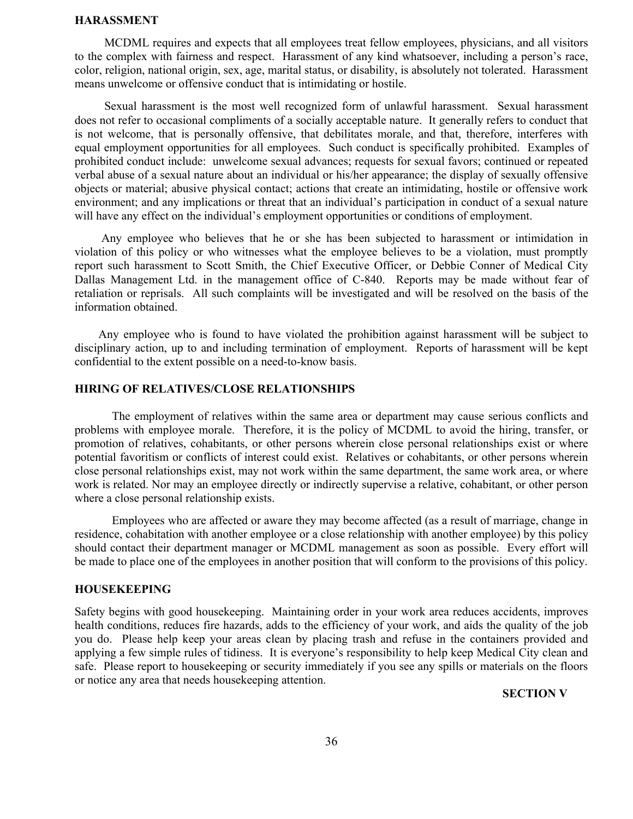#### **HARASSMENT**

 MCDML requires and expects that all employees treat fellow employees, physicians, and all visitors to the complex with fairness and respect. Harassment of any kind whatsoever, including a person's race, color, religion, national origin, sex, age, marital status, or disability, is absolutely not tolerated. Harassment means unwelcome or offensive conduct that is intimidating or hostile.

 Sexual harassment is the most well recognized form of unlawful harassment. Sexual harassment does not refer to occasional compliments of a socially acceptable nature. It generally refers to conduct that is not welcome, that is personally offensive, that debilitates morale, and that, therefore, interferes with equal employment opportunities for all employees. Such conduct is specifically prohibited. Examples of prohibited conduct include: unwelcome sexual advances; requests for sexual favors; continued or repeated verbal abuse of a sexual nature about an individual or his/her appearance; the display of sexually offensive objects or material; abusive physical contact; actions that create an intimidating, hostile or offensive work environment; and any implications or threat that an individual's participation in conduct of a sexual nature will have any effect on the individual's employment opportunities or conditions of employment.

 Any employee who believes that he or she has been subjected to harassment or intimidation in violation of this policy or who witnesses what the employee believes to be a violation, must promptly report such harassment to Scott Smith, the Chief Executive Officer, or Debbie Conner of Medical City Dallas Management Ltd. in the management office of C-840. Reports may be made without fear of retaliation or reprisals. All such complaints will be investigated and will be resolved on the basis of the information obtained.

 Any employee who is found to have violated the prohibition against harassment will be subject to disciplinary action, up to and including termination of employment. Reports of harassment will be kept confidential to the extent possible on a need-to-know basis.

## **HIRING OF RELATIVES/CLOSE RELATIONSHIPS**

The employment of relatives within the same area or department may cause serious conflicts and problems with employee morale. Therefore, it is the policy of MCDML to avoid the hiring, transfer, or promotion of relatives, cohabitants, or other persons wherein close personal relationships exist or where potential favoritism or conflicts of interest could exist. Relatives or cohabitants, or other persons wherein close personal relationships exist, may not work within the same department, the same work area, or where work is related. Nor may an employee directly or indirectly supervise a relative, cohabitant, or other person where a close personal relationship exists.

Employees who are affected or aware they may become affected (as a result of marriage, change in residence, cohabitation with another employee or a close relationship with another employee) by this policy should contact their department manager or MCDML management as soon as possible. Every effort will be made to place one of the employees in another position that will conform to the provisions of this policy.

#### **HOUSEKEEPING**

Safety begins with good housekeeping. Maintaining order in your work area reduces accidents, improves health conditions, reduces fire hazards, adds to the efficiency of your work, and aids the quality of the job you do. Please help keep your areas clean by placing trash and refuse in the containers provided and applying a few simple rules of tidiness. It is everyone's responsibility to help keep Medical City clean and safe. Please report to housekeeping or security immediately if you see any spills or materials on the floors or notice any area that needs housekeeping attention.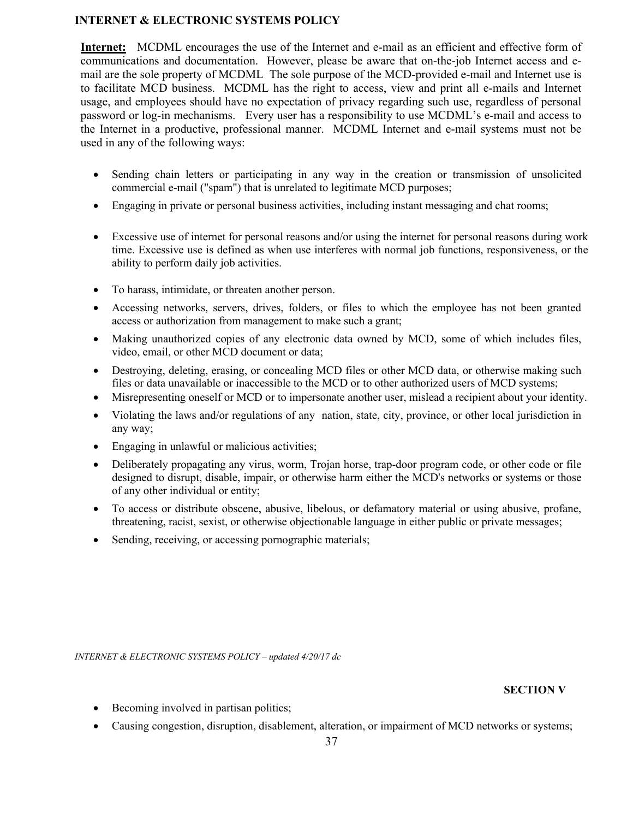## **INTERNET & ELECTRONIC SYSTEMS POLICY**

**Internet:** MCDML encourages the use of the Internet and e-mail as an efficient and effective form of communications and documentation. However, please be aware that on-the-job Internet access and email are the sole property of MCDML The sole purpose of the MCD-provided e-mail and Internet use is to facilitate MCD business. MCDML has the right to access, view and print all e-mails and Internet usage, and employees should have no expectation of privacy regarding such use, regardless of personal password or log-in mechanisms. Every user has a responsibility to use MCDML's e-mail and access to the Internet in a productive, professional manner. MCDML Internet and e-mail systems must not be used in any of the following ways:

- Sending chain letters or participating in any way in the creation or transmission of unsolicited commercial e-mail ("spam") that is unrelated to legitimate MCD purposes;
- Engaging in private or personal business activities, including instant messaging and chat rooms;
- Excessive use of internet for personal reasons and/or using the internet for personal reasons during work time. Excessive use is defined as when use interferes with normal job functions, responsiveness, or the ability to perform daily job activities.
- To harass, intimidate, or threaten another person.
- Accessing networks, servers, drives, folders, or files to which the employee has not been granted access or authorization from management to make such a grant;
- Making unauthorized copies of any electronic data owned by MCD, some of which includes files, video, email, or other MCD document or data;
- Destroying, deleting, erasing, or concealing MCD files or other MCD data, or otherwise making such files or data unavailable or inaccessible to the MCD or to other authorized users of MCD systems;
- Misrepresenting oneself or MCD or to impersonate another user, mislead a recipient about your identity.
- Violating the laws and/or regulations of any nation, state, city, province, or other local jurisdiction in any way;
- Engaging in unlawful or malicious activities;
- Deliberately propagating any virus, worm, Trojan horse, trap-door program code, or other code or file designed to disrupt, disable, impair, or otherwise harm either the MCD's networks or systems or those of any other individual or entity;
- To access or distribute obscene, abusive, libelous, or defamatory material or using abusive, profane, threatening, racist, sexist, or otherwise objectionable language in either public or private messages;
- Sending, receiving, or accessing pornographic materials;

*INTERNET & ELECTRONIC SYSTEMS POLICY – updated 4/20/17 dc*

- Becoming involved in partisan politics;
- Causing congestion, disruption, disablement, alteration, or impairment of MCD networks or systems;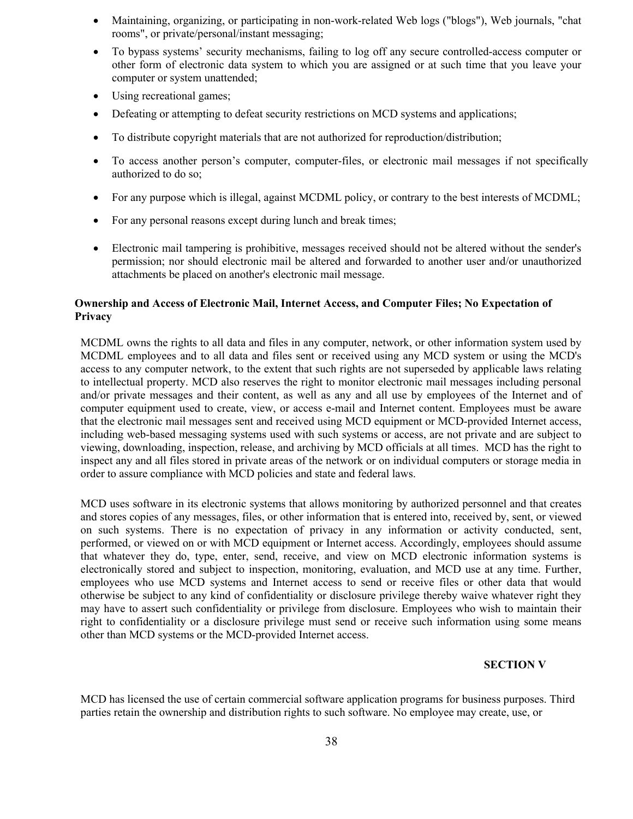- Maintaining, organizing, or participating in non-work-related Web logs ("blogs"), Web journals, "chat rooms", or private/personal/instant messaging;
- To bypass systems' security mechanisms, failing to log off any secure controlled-access computer or other form of electronic data system to which you are assigned or at such time that you leave your computer or system unattended;
- Using recreational games;
- Defeating or attempting to defeat security restrictions on MCD systems and applications;
- To distribute copyright materials that are not authorized for reproduction/distribution;
- To access another person's computer, computer-files, or electronic mail messages if not specifically authorized to do so;
- For any purpose which is illegal, against MCDML policy, or contrary to the best interests of MCDML;
- For any personal reasons except during lunch and break times;
- Electronic mail tampering is prohibitive, messages received should not be altered without the sender's permission; nor should electronic mail be altered and forwarded to another user and/or unauthorized attachments be placed on another's electronic mail message.

## **Ownership and Access of Electronic Mail, Internet Access, and Computer Files; No Expectation of Privacy**

MCDML owns the rights to all data and files in any computer, network, or other information system used by MCDML employees and to all data and files sent or received using any MCD system or using the MCD's access to any computer network, to the extent that such rights are not superseded by applicable laws relating to intellectual property. MCD also reserves the right to monitor electronic mail messages including personal and/or private messages and their content, as well as any and all use by employees of the Internet and of computer equipment used to create, view, or access e-mail and Internet content. Employees must be aware that the electronic mail messages sent and received using MCD equipment or MCD-provided Internet access, including web-based messaging systems used with such systems or access, are not private and are subject to viewing, downloading, inspection, release, and archiving by MCD officials at all times. MCD has the right to inspect any and all files stored in private areas of the network or on individual computers or storage media in order to assure compliance with MCD policies and state and federal laws.

MCD uses software in its electronic systems that allows monitoring by authorized personnel and that creates and stores copies of any messages, files, or other information that is entered into, received by, sent, or viewed on such systems. There is no expectation of privacy in any information or activity conducted, sent, performed, or viewed on or with MCD equipment or Internet access. Accordingly, employees should assume that whatever they do, type, enter, send, receive, and view on MCD electronic information systems is electronically stored and subject to inspection, monitoring, evaluation, and MCD use at any time. Further, employees who use MCD systems and Internet access to send or receive files or other data that would otherwise be subject to any kind of confidentiality or disclosure privilege thereby waive whatever right they may have to assert such confidentiality or privilege from disclosure. Employees who wish to maintain their right to confidentiality or a disclosure privilege must send or receive such information using some means other than MCD systems or the MCD-provided Internet access.

## **SECTION V**

MCD has licensed the use of certain commercial software application programs for business purposes. Third parties retain the ownership and distribution rights to such software. No employee may create, use, or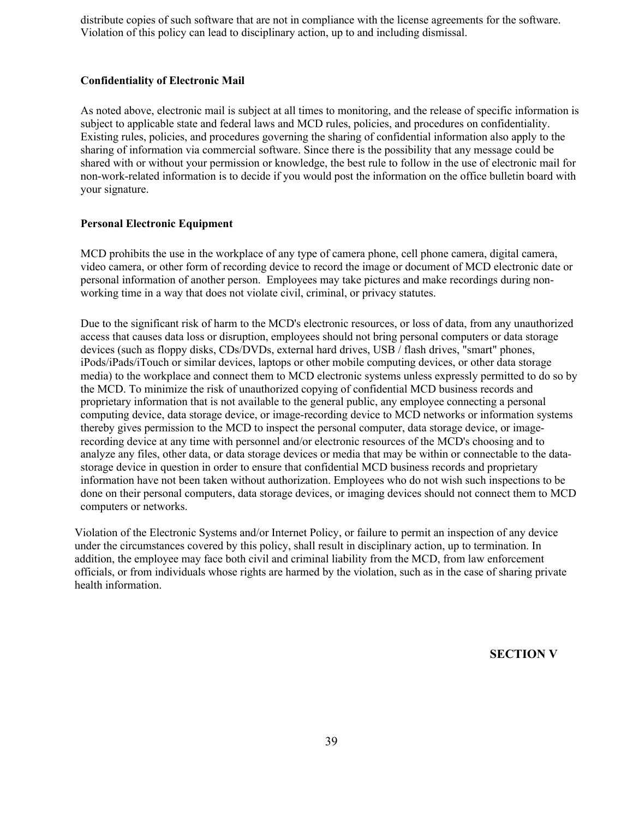distribute copies of such software that are not in compliance with the license agreements for the software. Violation of this policy can lead to disciplinary action, up to and including dismissal.

## **Confidentiality of Electronic Mail**

As noted above, electronic mail is subject at all times to monitoring, and the release of specific information is subject to applicable state and federal laws and MCD rules, policies, and procedures on confidentiality. Existing rules, policies, and procedures governing the sharing of confidential information also apply to the sharing of information via commercial software. Since there is the possibility that any message could be shared with or without your permission or knowledge, the best rule to follow in the use of electronic mail for non-work-related information is to decide if you would post the information on the office bulletin board with your signature.

## **Personal Electronic Equipment**

MCD prohibits the use in the workplace of any type of camera phone, cell phone camera, digital camera, video camera, or other form of recording device to record the image or document of MCD electronic date or personal information of another person. Employees may take pictures and make recordings during nonworking time in a way that does not violate civil, criminal, or privacy statutes.

Due to the significant risk of harm to the MCD's electronic resources, or loss of data, from any unauthorized access that causes data loss or disruption, employees should not bring personal computers or data storage devices (such as floppy disks, CDs/DVDs, external hard drives, USB / flash drives, "smart" phones, iPods/iPads/iTouch or similar devices, laptops or other mobile computing devices, or other data storage media) to the workplace and connect them to MCD electronic systems unless expressly permitted to do so by the MCD. To minimize the risk of unauthorized copying of confidential MCD business records and proprietary information that is not available to the general public, any employee connecting a personal computing device, data storage device, or image-recording device to MCD networks or information systems thereby gives permission to the MCD to inspect the personal computer, data storage device, or imagerecording device at any time with personnel and/or electronic resources of the MCD's choosing and to analyze any files, other data, or data storage devices or media that may be within or connectable to the datastorage device in question in order to ensure that confidential MCD business records and proprietary information have not been taken without authorization. Employees who do not wish such inspections to be done on their personal computers, data storage devices, or imaging devices should not connect them to MCD computers or networks.

Violation of the Electronic Systems and/or Internet Policy, or failure to permit an inspection of any device under the circumstances covered by this policy, shall result in disciplinary action, up to termination. In addition, the employee may face both civil and criminal liability from the MCD, from law enforcement officials, or from individuals whose rights are harmed by the violation, such as in the case of sharing private health information.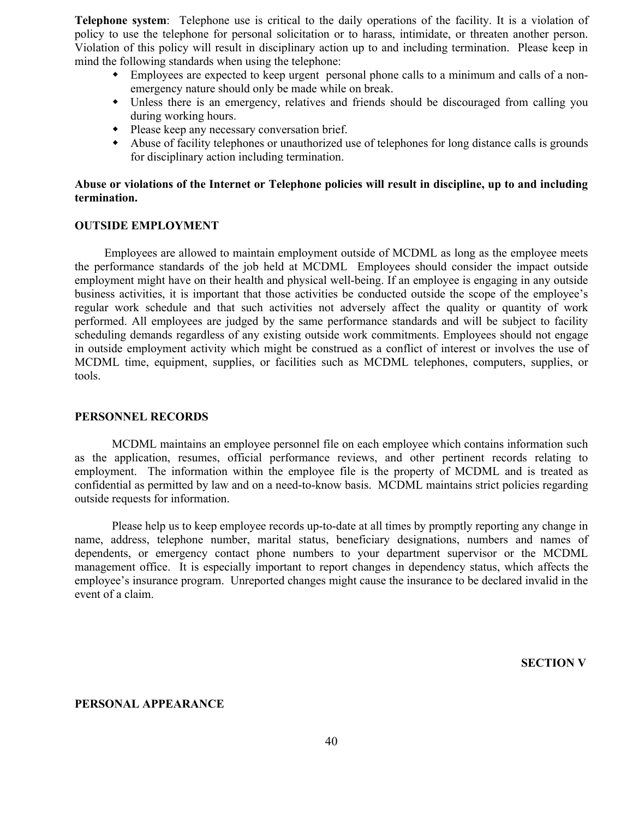**Telephone system**: Telephone use is critical to the daily operations of the facility. It is a violation of policy to use the telephone for personal solicitation or to harass, intimidate, or threaten another person. Violation of this policy will result in disciplinary action up to and including termination. Please keep in mind the following standards when using the telephone:

- w Employees are expected to keep urgent personal phone calls to a minimum and calls of a nonemergency nature should only be made while on break.
- Unless there is an emergency, relatives and friends should be discouraged from calling you during working hours.
- Please keep any necessary conversation brief.
- w Abuse of facility telephones or unauthorized use of telephones for long distance calls is grounds for disciplinary action including termination.

## **Abuse or violations of the Internet or Telephone policies will result in discipline, up to and including termination.**

#### **OUTSIDE EMPLOYMENT**

 Employees are allowed to maintain employment outside of MCDML as long as the employee meets the performance standards of the job held at MCDML Employees should consider the impact outside employment might have on their health and physical well-being. If an employee is engaging in any outside business activities, it is important that those activities be conducted outside the scope of the employee's regular work schedule and that such activities not adversely affect the quality or quantity of work performed. All employees are judged by the same performance standards and will be subject to facility scheduling demands regardless of any existing outside work commitments. Employees should not engage in outside employment activity which might be construed as a conflict of interest or involves the use of MCDML time, equipment, supplies, or facilities such as MCDML telephones, computers, supplies, or tools.

#### **PERSONNEL RECORDS**

MCDML maintains an employee personnel file on each employee which contains information such as the application, resumes, official performance reviews, and other pertinent records relating to employment. The information within the employee file is the property of MCDML and is treated as confidential as permitted by law and on a need-to-know basis. MCDML maintains strict policies regarding outside requests for information.

Please help us to keep employee records up-to-date at all times by promptly reporting any change in name, address, telephone number, marital status, beneficiary designations, numbers and names of dependents, or emergency contact phone numbers to your department supervisor or the MCDML management office. It is especially important to report changes in dependency status, which affects the employee's insurance program. Unreported changes might cause the insurance to be declared invalid in the event of a claim.

**SECTION V**

#### **PERSONAL APPEARANCE**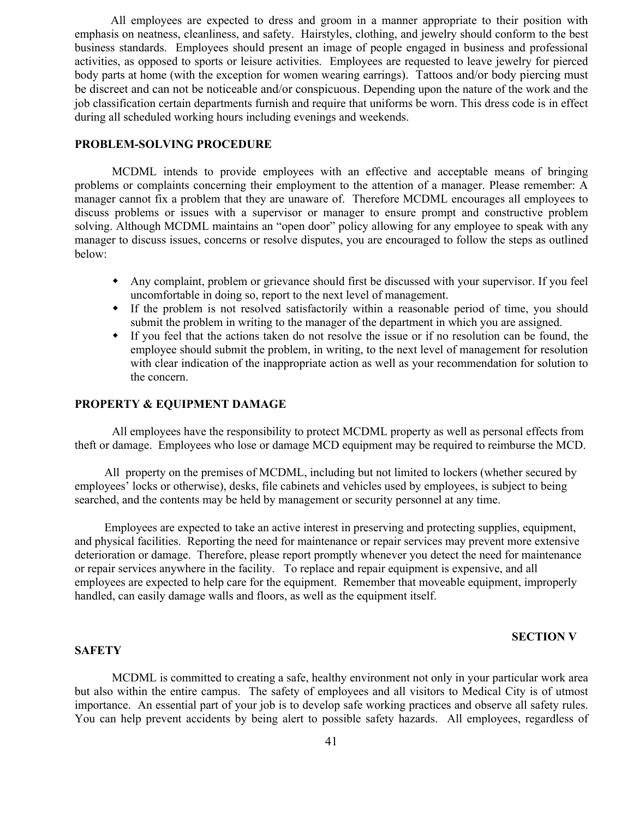All employees are expected to dress and groom in a manner appropriate to their position with emphasis on neatness, cleanliness, and safety. Hairstyles, clothing, and jewelry should conform to the best business standards. Employees should present an image of people engaged in business and professional activities, as opposed to sports or leisure activities. Employees are requested to leave jewelry for pierced body parts at home (with the exception for women wearing earrings). Tattoos and/or body piercing must be discreet and can not be noticeable and/or conspicuous. Depending upon the nature of the work and the job classification certain departments furnish and require that uniforms be worn. This dress code is in effect during all scheduled working hours including evenings and weekends.

## **PROBLEM-SOLVING PROCEDURE**

MCDML intends to provide employees with an effective and acceptable means of bringing problems or complaints concerning their employment to the attention of a manager. Please remember: A manager cannot fix a problem that they are unaware of. Therefore MCDML encourages all employees to discuss problems or issues with a supervisor or manager to ensure prompt and constructive problem solving. Although MCDML maintains an "open door" policy allowing for any employee to speak with any manager to discuss issues, concerns or resolve disputes, you are encouraged to follow the steps as outlined below:

- w Any complaint, problem or grievance should first be discussed with your supervisor. If you feel uncomfortable in doing so, report to the next level of management.
- w If the problem is not resolved satisfactorily within a reasonable period of time, you should submit the problem in writing to the manager of the department in which you are assigned.
- w If you feel that the actions taken do not resolve the issue or if no resolution can be found, the employee should submit the problem, in writing, to the next level of management for resolution with clear indication of the inappropriate action as well as your recommendation for solution to the concern.

#### **PROPERTY & EQUIPMENT DAMAGE**

All employees have the responsibility to protect MCDML property as well as personal effects from theft or damage. Employees who lose or damage MCD equipment may be required to reimburse the MCD.

 All property on the premises of MCDML, including but not limited to lockers (whether secured by employees' locks or otherwise), desks, file cabinets and vehicles used by employees, is subject to being searched, and the contents may be held by management or security personnel at any time.

 Employees are expected to take an active interest in preserving and protecting supplies, equipment, and physical facilities. Reporting the need for maintenance or repair services may prevent more extensive deterioration or damage. Therefore, please report promptly whenever you detect the need for maintenance or repair services anywhere in the facility. To replace and repair equipment is expensive, and all employees are expected to help care for the equipment. Remember that moveable equipment, improperly handled, can easily damage walls and floors, as well as the equipment itself.

## **SECTION V**

#### **SAFETY**

MCDML is committed to creating a safe, healthy environment not only in your particular work area but also within the entire campus. The safety of employees and all visitors to Medical City is of utmost importance. An essential part of your job is to develop safe working practices and observe all safety rules. You can help prevent accidents by being alert to possible safety hazards. All employees, regardless of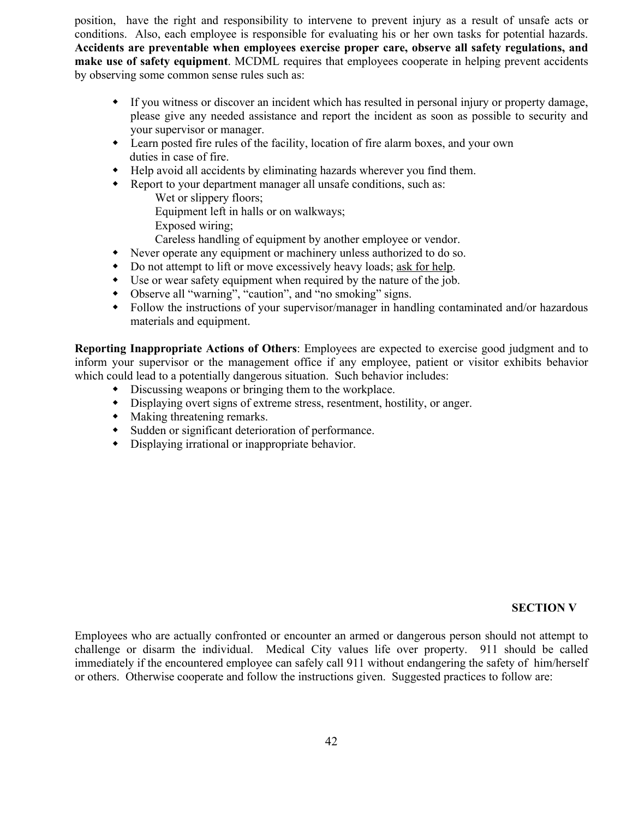position, have the right and responsibility to intervene to prevent injury as a result of unsafe acts or conditions. Also, each employee is responsible for evaluating his or her own tasks for potential hazards. **Accidents are preventable when employees exercise proper care, observe all safety regulations, and make use of safety equipment**. MCDML requires that employees cooperate in helping prevent accidents by observing some common sense rules such as:

- w If you witness or discover an incident which has resulted in personal injury or property damage, please give any needed assistance and report the incident as soon as possible to security and your supervisor or manager.
- Learn posted fire rules of the facility, location of fire alarm boxes, and your own duties in case of fire.
- w Help avoid all accidents by eliminating hazards wherever you find them.
- Report to your department manager all unsafe conditions, such as:

Wet or slippery floors;

Equipment left in halls or on walkways;

Exposed wiring;

Careless handling of equipment by another employee or vendor.

- Never operate any equipment or machinery unless authorized to do so.
- Do not attempt to lift or move excessively heavy loads; ask for help.
- $\bullet$  Use or wear safety equipment when required by the nature of the job.
- Observe all "warning", "caution", and "no smoking" signs.
- Follow the instructions of your supervisor/manager in handling contaminated and/or hazardous materials and equipment.

**Reporting Inappropriate Actions of Others**: Employees are expected to exercise good judgment and to inform your supervisor or the management office if any employee, patient or visitor exhibits behavior which could lead to a potentially dangerous situation. Such behavior includes:

- Discussing weapons or bringing them to the workplace.
- $\bullet$  Displaying overt signs of extreme stress, resentment, hostility, or anger.
- $\bullet$  Making threatening remarks.
- Sudden or significant deterioration of performance.
- $\bullet$  Displaying irrational or inappropriate behavior.

### **SECTION V**

Employees who are actually confronted or encounter an armed or dangerous person should not attempt to challenge or disarm the individual. Medical City values life over property. 911 should be called immediately if the encountered employee can safely call 911 without endangering the safety of him/herself or others. Otherwise cooperate and follow the instructions given. Suggested practices to follow are: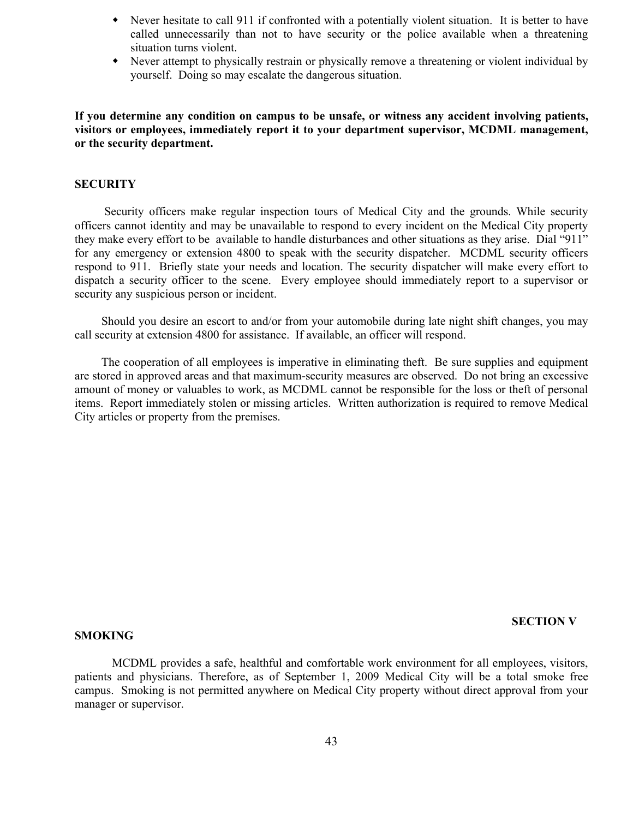- Never hesitate to call 911 if confronted with a potentially violent situation. It is better to have called unnecessarily than not to have security or the police available when a threatening situation turns violent.
- w Never attempt to physically restrain or physically remove a threatening or violent individual by yourself. Doing so may escalate the dangerous situation.

**If you determine any condition on campus to be unsafe, or witness any accident involving patients, visitors or employees, immediately report it to your department supervisor, MCDML management, or the security department.**

## **SECURITY**

 Security officers make regular inspection tours of Medical City and the grounds. While security officers cannot identity and may be unavailable to respond to every incident on the Medical City property they make every effort to be available to handle disturbances and other situations as they arise. Dial "911" for any emergency or extension 4800 to speak with the security dispatcher. MCDML security officers respond to 911. Briefly state your needs and location. The security dispatcher will make every effort to dispatch a security officer to the scene. Every employee should immediately report to a supervisor or security any suspicious person or incident.

 Should you desire an escort to and/or from your automobile during late night shift changes, you may call security at extension 4800 for assistance. If available, an officer will respond.

 The cooperation of all employees is imperative in eliminating theft. Be sure supplies and equipment are stored in approved areas and that maximum-security measures are observed. Do not bring an excessive amount of money or valuables to work, as MCDML cannot be responsible for the loss or theft of personal items. Report immediately stolen or missing articles. Written authorization is required to remove Medical City articles or property from the premises.

#### **SECTION V**

#### **SMOKING**

MCDML provides a safe, healthful and comfortable work environment for all employees, visitors, patients and physicians. Therefore, as of September 1, 2009 Medical City will be a total smoke free campus. Smoking is not permitted anywhere on Medical City property without direct approval from your manager or supervisor.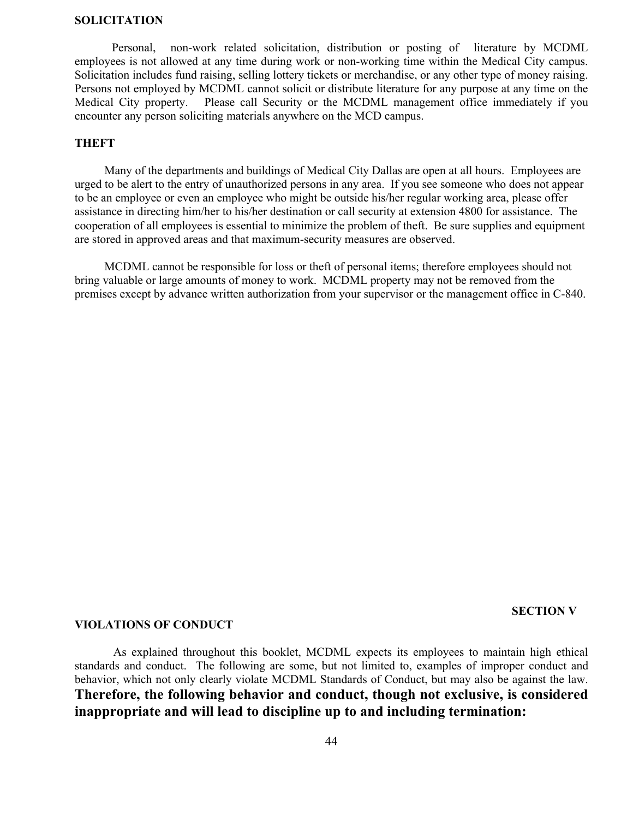#### **SOLICITATION**

Personal, non-work related solicitation, distribution or posting of literature by MCDML employees is not allowed at any time during work or non-working time within the Medical City campus. Solicitation includes fund raising, selling lottery tickets or merchandise, or any other type of money raising. Persons not employed by MCDML cannot solicit or distribute literature for any purpose at any time on the Medical City property. Please call Security or the MCDML management office immediately if you encounter any person soliciting materials anywhere on the MCD campus.

## **THEFT**

 Many of the departments and buildings of Medical City Dallas are open at all hours. Employees are urged to be alert to the entry of unauthorized persons in any area. If you see someone who does not appear to be an employee or even an employee who might be outside his/her regular working area, please offer assistance in directing him/her to his/her destination or call security at extension 4800 for assistance. The cooperation of all employees is essential to minimize the problem of theft. Be sure supplies and equipment are stored in approved areas and that maximum-security measures are observed.

 MCDML cannot be responsible for loss or theft of personal items; therefore employees should not bring valuable or large amounts of money to work. MCDML property may not be removed from the premises except by advance written authorization from your supervisor or the management office in C-840.

#### **SECTION V**

#### **VIOLATIONS OF CONDUCT**

 As explained throughout this booklet, MCDML expects its employees to maintain high ethical standards and conduct. The following are some, but not limited to, examples of improper conduct and behavior, which not only clearly violate MCDML Standards of Conduct, but may also be against the law. **Therefore, the following behavior and conduct, though not exclusive, is considered inappropriate and will lead to discipline up to and including termination:**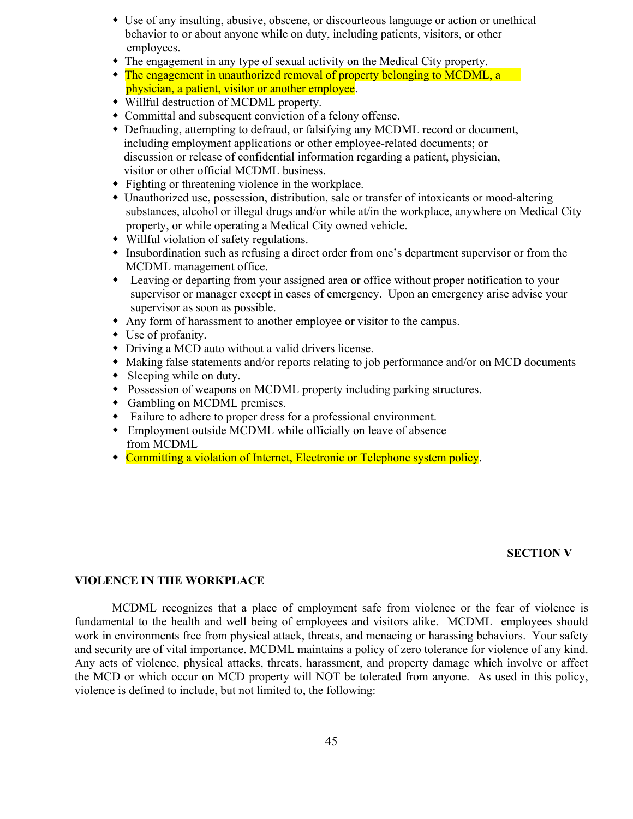- w Use of any insulting, abusive, obscene, or discourteous language or action or unethical behavior to or about anyone while on duty, including patients, visitors, or other employees.
- The engagement in any type of sexual activity on the Medical City property.
- The engagement in unauthorized removal of property belonging to MCDML, a physician, a patient, visitor or another employee.
- Willful destruction of MCDML property.
- Committal and subsequent conviction of a felony offense.
- w Defrauding, attempting to defraud, or falsifying any MCDML record or document, including employment applications or other employee-related documents; or discussion or release of confidential information regarding a patient, physician, visitor or other official MCDML business.
- $\bullet$  Fighting or threatening violence in the workplace.
- Unauthorized use, possession, distribution, sale or transfer of intoxicants or mood-altering substances, alcohol or illegal drugs and/or while at/in the workplace, anywhere on Medical City property, or while operating a Medical City owned vehicle.
- Willful violation of safety regulations.
- Insubordination such as refusing a direct order from one's department supervisor or from the MCDML management office.
- Leaving or departing from your assigned area or office without proper notification to your supervisor or manager except in cases of emergency. Upon an emergency arise advise your supervisor as soon as possible.
- Any form of harassment to another employee or visitor to the campus.
- $\bullet$  Use of profanity.
- Driving a MCD auto without a valid drivers license.
- Making false statements and/or reports relating to job performance and/or on MCD documents
- $\bullet$  Sleeping while on duty.
- Possession of weapons on MCDML property including parking structures.
- Gambling on MCDML premises.
- Failure to adhere to proper dress for a professional environment.
- Employment outside MCDML while officially on leave of absence from MCDML
- Committing a violation of Internet, Electronic or Telephone system policy.

## **SECTION V**

### **VIOLENCE IN THE WORKPLACE**

MCDML recognizes that a place of employment safe from violence or the fear of violence is fundamental to the health and well being of employees and visitors alike. MCDML employees should work in environments free from physical attack, threats, and menacing or harassing behaviors. Your safety and security are of vital importance. MCDML maintains a policy of zero tolerance for violence of any kind. Any acts of violence, physical attacks, threats, harassment, and property damage which involve or affect the MCD or which occur on MCD property will NOT be tolerated from anyone. As used in this policy, violence is defined to include, but not limited to, the following: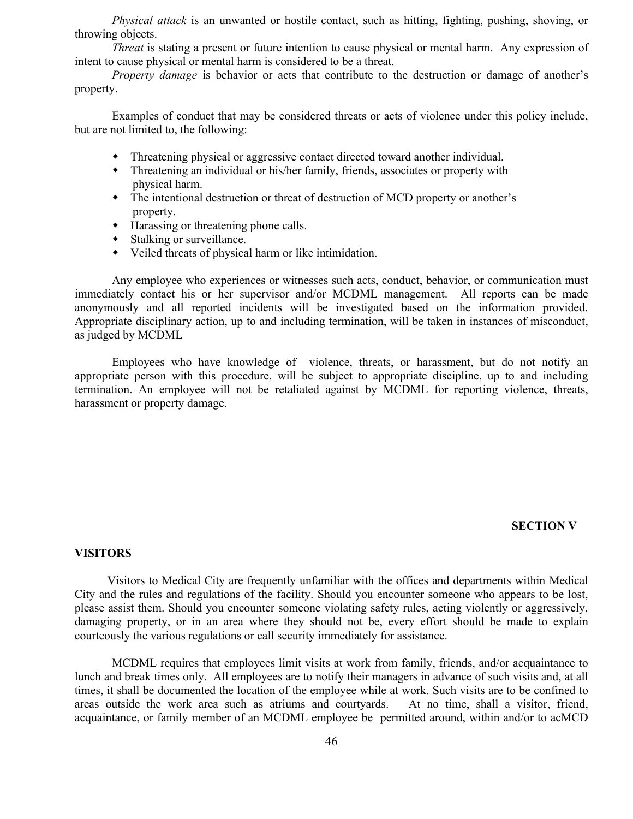*Physical attack* is an unwanted or hostile contact, such as hitting, fighting, pushing, shoving, or throwing objects.

*Threat* is stating a present or future intention to cause physical or mental harm. Any expression of intent to cause physical or mental harm is considered to be a threat.

*Property damage* is behavior or acts that contribute to the destruction or damage of another's property.

Examples of conduct that may be considered threats or acts of violence under this policy include, but are not limited to, the following:

- w Threatening physical or aggressive contact directed toward another individual.
- w Threatening an individual or his/her family, friends, associates or property with physical harm.
- The intentional destruction or threat of destruction of MCD property or another's property.
- $\bullet$  Harassing or threatening phone calls.
- $\bullet$  Stalking or surveillance.
- $\bullet$  Veiled threats of physical harm or like intimidation.

Any employee who experiences or witnesses such acts, conduct, behavior, or communication must immediately contact his or her supervisor and/or MCDML management. All reports can be made anonymously and all reported incidents will be investigated based on the information provided. Appropriate disciplinary action, up to and including termination, will be taken in instances of misconduct, as judged by MCDML

Employees who have knowledge of violence, threats, or harassment, but do not notify an appropriate person with this procedure, will be subject to appropriate discipline, up to and including termination. An employee will not be retaliated against by MCDML for reporting violence, threats, harassment or property damage.

#### **SECTION V**

#### **VISITORS**

Visitors to Medical City are frequently unfamiliar with the offices and departments within Medical City and the rules and regulations of the facility. Should you encounter someone who appears to be lost, please assist them. Should you encounter someone violating safety rules, acting violently or aggressively, damaging property, or in an area where they should not be, every effort should be made to explain courteously the various regulations or call security immediately for assistance.

MCDML requires that employees limit visits at work from family, friends, and/or acquaintance to lunch and break times only. All employees are to notify their managers in advance of such visits and, at all times, it shall be documented the location of the employee while at work. Such visits are to be confined to areas outside the work area such as atriums and courtyards. At no time, shall a visitor, friend, acquaintance, or family member of an MCDML employee be permitted around, within and/or to acMCD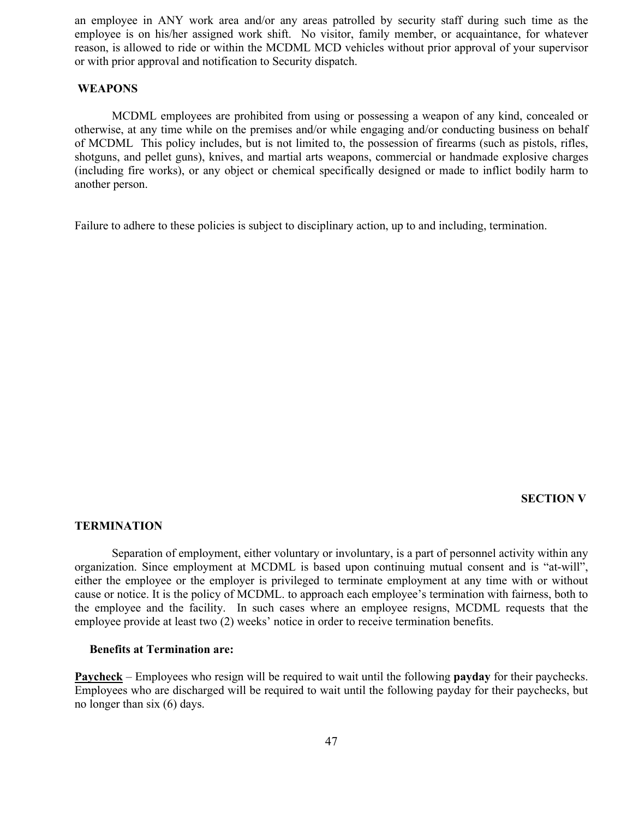an employee in ANY work area and/or any areas patrolled by security staff during such time as the employee is on his/her assigned work shift. No visitor, family member, or acquaintance, for whatever reason, is allowed to ride or within the MCDML MCD vehicles without prior approval of your supervisor or with prior approval and notification to Security dispatch.

#### **WEAPONS**

MCDML employees are prohibited from using or possessing a weapon of any kind, concealed or otherwise, at any time while on the premises and/or while engaging and/or conducting business on behalf of MCDML This policy includes, but is not limited to, the possession of firearms (such as pistols, rifles, shotguns, and pellet guns), knives, and martial arts weapons, commercial or handmade explosive charges (including fire works), or any object or chemical specifically designed or made to inflict bodily harm to another person.

Failure to adhere to these policies is subject to disciplinary action, up to and including, termination.

#### **SECTION V**

#### **TERMINATION**

Separation of employment, either voluntary or involuntary, is a part of personnel activity within any organization. Since employment at MCDML is based upon continuing mutual consent and is "at-will", either the employee or the employer is privileged to terminate employment at any time with or without cause or notice. It is the policy of MCDML. to approach each employee's termination with fairness, both to the employee and the facility. In such cases where an employee resigns, MCDML requests that the employee provide at least two (2) weeks' notice in order to receive termination benefits.

#### **Benefits at Termination are:**

**Paycheck** – Employees who resign will be required to wait until the following **payday** for their paychecks. Employees who are discharged will be required to wait until the following payday for their paychecks, but no longer than six (6) days.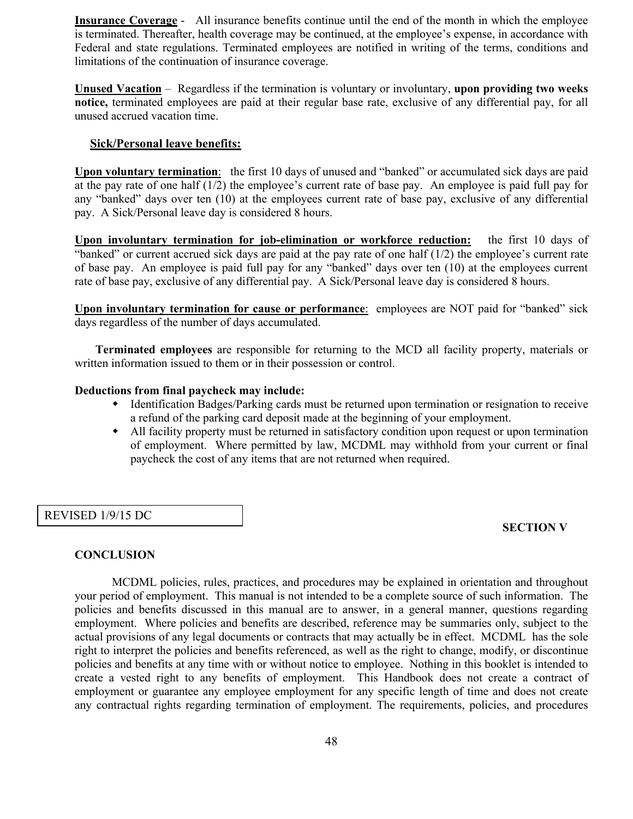**Insurance Coverage** - All insurance benefits continue until the end of the month in which the employee is terminated. Thereafter, health coverage may be continued, at the employee's expense, in accordance with Federal and state regulations. Terminated employees are notified in writing of the terms, conditions and limitations of the continuation of insurance coverage.

**Unused Vacation** – Regardless if the termination is voluntary or involuntary, **upon providing two weeks notice,** terminated employees are paid at their regular base rate, exclusive of any differential pay, for all unused accrued vacation time.

## **Sick/Personal leave benefits:**

**Upon voluntary termination**: the first 10 days of unused and "banked" or accumulated sick days are paid at the pay rate of one half (1/2) the employee's current rate of base pay. An employee is paid full pay for any "banked" days over ten (10) at the employees current rate of base pay, exclusive of any differential pay. A Sick/Personal leave day is considered 8 hours.

**Upon involuntary termination for job-elimination or workforce reduction:** the first 10 days of "banked" or current accrued sick days are paid at the pay rate of one half  $(1/2)$  the employee's current rate of base pay. An employee is paid full pay for any "banked" days over ten (10) at the employees current rate of base pay, exclusive of any differential pay. A Sick/Personal leave day is considered 8 hours.

**Upon involuntary termination for cause or performance**: employees are NOT paid for "banked" sick days regardless of the number of days accumulated.

 **Terminated employees** are responsible for returning to the MCD all facility property, materials or written information issued to them or in their possession or control.

#### **Deductions from final paycheck may include:**

- w Identification Badges/Parking cards must be returned upon termination or resignation to receive a refund of the parking card deposit made at the beginning of your employment.
- All facility property must be returned in satisfactory condition upon request or upon termination of employment. Where permitted by law, MCDML may withhold from your current or final paycheck the cost of any items that are not returned when required.

### REVISED 1/9/15 DC

### **SECTION V**

### **CONCLUSION**

MCDML policies, rules, practices, and procedures may be explained in orientation and throughout your period of employment. This manual is not intended to be a complete source of such information. The policies and benefits discussed in this manual are to answer, in a general manner, questions regarding employment. Where policies and benefits are described, reference may be summaries only, subject to the actual provisions of any legal documents or contracts that may actually be in effect. MCDML has the sole right to interpret the policies and benefits referenced, as well as the right to change, modify, or discontinue policies and benefits at any time with or without notice to employee. Nothing in this booklet is intended to create a vested right to any benefits of employment. This Handbook does not create a contract of employment or guarantee any employee employment for any specific length of time and does not create any contractual rights regarding termination of employment. The requirements, policies, and procedures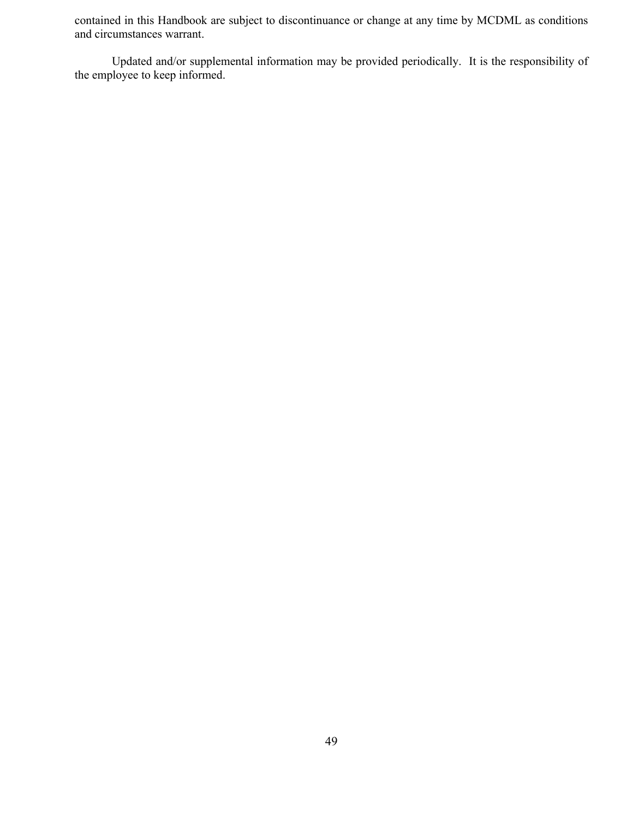contained in this Handbook are subject to discontinuance or change at any time by MCDML as conditions and circumstances warrant.

Updated and/or supplemental information may be provided periodically. It is the responsibility of the employee to keep informed.